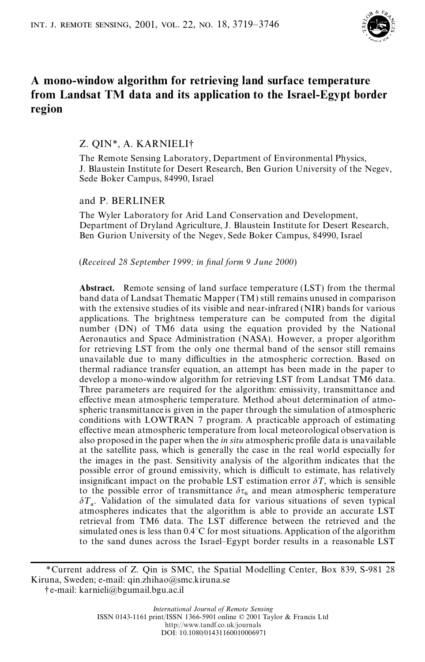

# **A mono-window algorithm for retrieving land surface temperature from Landsat TM data and its application to the Israel-Egypt border region**

# Z. QIN\*, A. KARNIELI†

The Remote Sensing Laboratory, Department of Environmental Physics, J. Blaustein Institute for Desert Research, Ben Gurion University of the Negev, Sede Boker Campus, 84990, Israel

## and P. BERLINER

The Wyler Laboratory for Arid Land Conservation and Development, Department of Dryland Agriculture, J. Blaustein Institute for Desert Research, Ben Gurion University of the Negev, Sede Boker Campus, 84990, Israel

(*Received 28 September 1999; in nal form 9 June 2000*)

**Abstract.** Remote sensing of land surface temperature (LST) from the thermal band data of Landsat Thematic Mapper (TM) still remains unused in comparison with the extensive studies of its visible and near-infrared (NIR) bands for various applications. The brightness temperature can be computed from the digital number (DN) of TM6 data using the equation provided by the National Aeronautics and Space Administration (NASA). However, a proper algorithm for retrieving LST from the only one thermal band of the sensor still remains unavailable due to many difficulties in the atmospheric correction. Based on thermal radiance transfer equation, an attempt has been made in the paper to develop a mono-window algorithm for retrieving LST from Landsat TM6 data. Three parameters are required for the algorithm: emissivity, transmittance and effective mean atmospheric temperature. Method about determination of atmospheric transmittance is given in the paper through the simulation of atmospheric conditions with LOWTRAN 7 program. A practicable approach of estimating effective mean atmospheric temperature from local meteorological observation is also proposed in the paper when the *in situ* atmospheric profile data is unavailable at the satellite pass, which is generally the case in the real world especially for the images in the past. Sensitivity analysis of the algorithm indicates that the possible error of ground emissivity, which is difficult to estimate, has relatively insignificant impact on the probable LST estimation error  $\delta T$ , which is sensible to the possible error of transmittance  $\delta \tau_6$  and mean atmospheric temperature  $\delta T_a$ . Validation of the simulated data for various situations of seven typical atmospheres indicates that the algorithm is able to provide an accurate LST retrieval from TM6 data. The LST difference between the retrieved and the simulated ones is less than 0.4°C for most situations. Application of the algorithm to the sand dunes across the Israel–Egypt border results in a reasonable LST

<sup>\*</sup>Current address of Z. Qin is SMC, the Spatial Modelling Center, Box 839, S-981 28 Kiruna, Sweden; e-mail: qin.zhihao@smc.kiruna.se

<sup>†</sup>e-mail: karnieli@bgumail.bgu.ac.il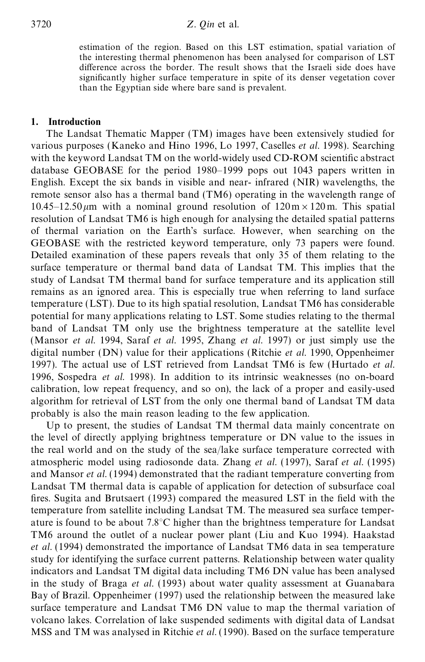estimation of the region. Based on this LST estimation, spatial variation of the interesting thermal phenomenon has been analysed for comparison of LST difference across the border. The result shows that the Israeli side does have signicantly higher surface temperature in spite of its denser vegetation cover than the Egyptian side where bare sand is prevalent.

# **1. Introduction**

The Landsat Thematic Mapper (TM) images have been extensively studied for various purposes (Kaneko and Hino 1996, Lo 1997, Caselles *et al.* 1998). Searching with the keyword Landsat TM on the world-widely used CD-ROM scientific abstract database GEOBASE for the period 1980–1999 pops out 1043 papers written in English. Except the six bands in visible and near- infrared (NIR) wavelengths, the remote sensor also has a thermal band (TM6) operating in the wavelength range of  $10.45-12.50 \,\mu m$  with a nominal ground resolution of  $120 \,\text{m} \times 120 \,\text{m}$ . This spatial resolution of Landsat TM6 is high enough for analysing the detailed spatial patterns of thermal variation on the Earth's surface. However, when searching on the GEOBASE with the restricted keyword temperature, only 73 papers were found. Detailed examination of these papers reveals that only 35 of them relating to the surface temperature or thermal band data of Landsat TM. This implies that the study of Landsat TM thermal band for surface temperature and its application still remains as an ignored area. This is especially true when referring to land surface temperature (LST). Due to its high spatial resolution, Landsat TM6 has considerable potential for many applications relating to LST. Some studies relating to the thermal band of Landsat TM only use the brightness temperature at the satellite level (Mansor *et al.* 1994, Saraf *et al.* 1995, Zhang *et al.* 1997) or just simply use the digital number (DN) value for their applications (Ritchie *et al.* 1990, Oppenheimer 1997). The actual use of LST retrieved from Landsat TM6 is few (Hurtado *et al.* 1996, Sospedra *et al*. 1998). In addition to its intrinsic weaknesses (no on-board calibration, low repeat frequency, and so on), the lack of a proper and easily-used algorithm for retrieval of LST from the only one thermal band of Landsat TM data probably is also the main reason leading to the few application.

Up to present, the studies of Landsat TM thermal data mainly concentrate on the level of directly applying brightness temperature or DN value to the issues in the real world and on the study of the sea/lake surface temperature corrected with atmospheric model using radiosonde data. Zhang *et al.* (1997), Saraf *et al.* (1995) and Mansor *et al.* (1994) demonstrated that the radiant temperature converting from Landsat TM thermal data is capable of application for detection of subsurface coal fires. Sugita and Brutsaert  $(1993)$  compared the measured LST in the field with the temperature from satellite including Landsat TM. The measured sea surface temperature is found to be about 7.8°C higher than the brightness temperature for Landsat TM6 around the outlet of a nuclear power plant (Liu and Kuo 1994). Haakstad *et al.* (1994) demonstrated the importance of Landsat TM6 data in sea temperature study for identifying the surface current patterns. Relationship between water quality indicators and Landsat TM digital data including TM6 DN value has been analysed in the study of Braga *et al.* (1993) about water quality assessment at Guanabara Bay of Brazil. Oppenheimer (1997) used the relationship between the measured lake surface temperature and Landsat TM6 DN value to map the thermal variation of volcano lakes. Correlation of lake suspended sediments with digital data of Landsat MSS and TM was analysed in Ritchie *et al.* (1990). Based on the surface temperature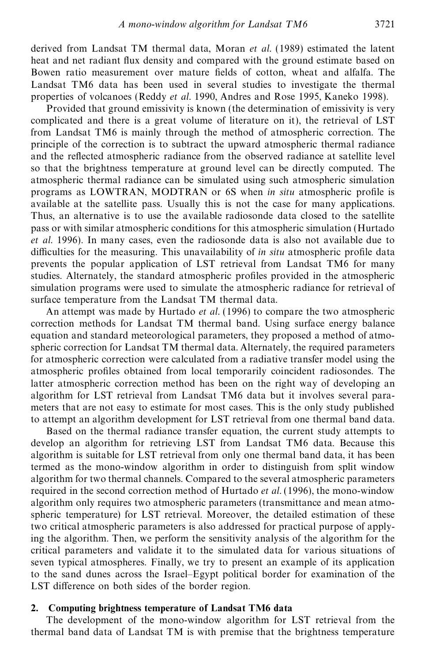derived from Landsat TM thermal data, Moran *et al.* (1989) estimated the latent heat and net radiant flux density and compared with the ground estimate based on Bowen ratio measurement over mature fields of cotton, wheat and alfalfa. The Landsat TM6 data has been used in several studies to investigate the thermal properties of volcanoes (Reddy *et al.* 1990, Andres and Rose 1995, Kaneko 1998).

Provided that ground emissivity is known (the determination of emissivity is very complicated and there is a great volume of literature on it), the retrieval of LST from Landsat TM6 is mainly through the method of atmospheric correction. The principle of the correction is to subtract the upward atmospheric thermal radiance and the reflected atmospheric radiance from the observed radiance at satellite level so that the brightness temperature at ground level can be directly computed. The atmospheric thermal radiance can be simulated using such atmospheric simulation programs as LOWTRAN, MODTRAN or 6S when *in situ* atmospheric prole is available at the satellite pass. Usually this is not the case for many applications. Thus, an alternative is to use the available radiosonde data closed to the satellite pass or with similar atmospheric conditions for this atmospheric simulation (Hurtado *et al.* 1996). In many cases, even the radiosonde data is also not available due to difficulties for the measuring. This unavailability of *in situ* atmospheric profile data prevents the popular application of LST retrieval from Landsat TM6 for many studies. Alternately, the standard atmospheric profiles provided in the atmospheric simulation programs were used to simulate the atmospheric radiance for retrieval of surface temperature from the Landsat TM thermal data.

An attempt was made by Hurtado *et al.* (1996) to compare the two atmospheric correction methods for Landsat TM thermal band. Using surface energy balance equation and standard meteorological parameters, they proposed a method of atmospheric correction for Landsat TM thermal data. Alternately, the required parameters for atmospheric correction were calculated from a radiative transfer model using the atmospheric profiles obtained from local temporarily coincident radiosondes. The latter atmospheric correction method has been on the right way of developing an algorithm for LST retrieval from Landsat TM6 data but it involves several parameters that are not easy to estimate for most cases. This is the only study published to attempt an algorithm development for LST retrieval from one thermal band data.

Based on the thermal radiance transfer equation, the current study attempts to develop an algorithm for retrieving LST from Landsat TM6 data. Because this algorithm is suitable for LST retrieval from only one thermal band data, it has been termed as the mono-window algorithm in order to distinguish from split window algorithm for two thermal channels. Compared to the several atmospheric parameters required in the second correction method of Hurtado *et al.* (1996), the mono-window algorithm only requires two atmospheric parameters (transmittance and mean atmospheric temperature) for LST retrieval. Moreover, the detailed estimation of these two critical atmospheric parameters is also addressed for practical purpose of applying the algorithm. Then, we perform the sensitivity analysis of the algorithm for the critical parameters and validate it to the simulated data for various situations of seven typical atmospheres. Finally, we try to present an example of its application to the sand dunes across the Israel–Egypt political border for examination of the LST difference on both sides of the border region.

## **2. Computing brightness temperature of Landsat TM6 data**

The development of the mono-window algorithm for LST retrieval from the thermal band data of Landsat TM is with premise that the brightness temperature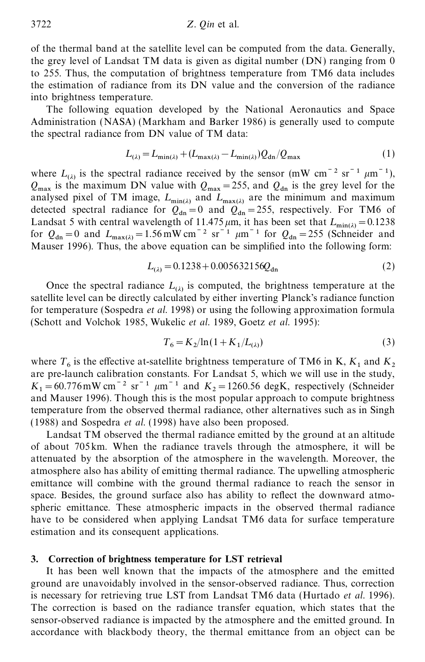of the thermal band at the satellite level can be computed from the data. Generally, the grey level of Landsat TM data is given as digital number (DN) ranging from 0 to 255. Thus, the computation of brightness temperature from TM6 data includes the estimation of radiance from its DN value and the conversion of the radiance into brightness temperature.

The following equation developed by the National Aeronautics and Space Administration (NASA) (Markham and Barker 1986) is generally used to compute the spectral radiance from DN value of TM data:

$$
L_{(\lambda)} = L_{\min(\lambda)} + (L_{\max(\lambda)} - L_{\min(\lambda)})Q_{\text{dn}}/Q_{\max} \tag{1}
$$

where  $L_{(\lambda)}$  is the spectral radiance received by the sensor (mW cm<sup>-2</sup> sr<sup>-1</sup>  $\mu$ m<sup>-1</sup>),  $Q_{\text{max}}$  is the maximum DN value with  $Q_{\text{max}} = 255$ , and  $Q_{\text{dn}}$  is the grey level for the analysed pixel of TM image,  $L_{\min(\lambda)}$  and  $L_{\max(\lambda)}$  are the minimum and maximum detected spectral radiance for  $Q_{dn} = 0$  and  $Q_{dn} = 255$ , respectively. For TM6 of Landsat 5 with central wavelength of  $11.475 \mu m$ , it has been set that  $L_{min(\lambda)} = 0.1238$ for  $Q_{dn} = 0$  and  $L_{max(\lambda)} = 1.56$  mW cm<sup>-2</sup> sr<sup>-1</sup>  $\mu$ m<sup>-1</sup> for  $Q_{dn} = 255$  (Schneider and Mauser 1996). Thus, the above equation can be simplied into the following form:

$$
L_{(\lambda)} = 0.1238 + 0.005632156Q_{dn}
$$
 (2)

Once the spectral radiance  $L_{(\lambda)}$  is computed, the brightness temperature at the satellite level can be directly calculated by either inverting Planck's radiance function for temperature (Sospedra *et al.* 1998) or using the following approximation formula (Schott and Volchok 1985, Wukelic *et al.* 1989, Goetz *et al.* 1995):

$$
T_6 = K_2 / \ln(1 + K_1 / L_{(\lambda)})
$$
\n(3)

where  $T_6$  is the effective at-satellite brightness temperature of TM6 in K,  $K_1$  and  $K_2$ are pre-launch calibration constants. For Landsat 5, which we will use in the study,  $K_1 = 60.776$  mW cm<sup>-2</sup> sr<sup>-1</sup>  $\mu$ m<sup>-1</sup> and  $K_2 = 1260.56$  degK, respectively (Schneider and Mauser 1996). Though this is the most popular approach to compute brightness temperature from the observed thermal radiance, other alternatives such as in Singh (1988) and Sospedra *et al.* (1998) have also been proposed.

Landsat TM observed the thermal radiance emitted by the ground at an altitude of about 705km. When the radiance travels through the atmosphere, it will be attenuated by the absorption of the atmosphere in the wavelength. Moreover, the atmosphere also has ability of emitting thermal radiance. The upwelling atmospheric emittance will combine with the ground thermal radiance to reach the sensor in space. Besides, the ground surface also has ability to reflect the downward atmospheric emittance. These atmospheric impacts in the observed thermal radiance have to be considered when applying Landsat TM6 data for surface temperature estimation and its consequent applications.

### **3. Correction of brightness temperature for LST retrieval**

It has been well known that the impacts of the atmosphere and the emitted ground are unavoidably involved in the sensor-observed radiance. Thus, correction is necessary for retrieving true LST from Landsat TM6 data (Hurtado *et al.* 1996). The correction is based on the radiance transfer equation, which states that the sensor-observed radiance is impacted by the atmosphere and the emitted ground. In accordance with blackbody theory, the thermal emittance from an object can be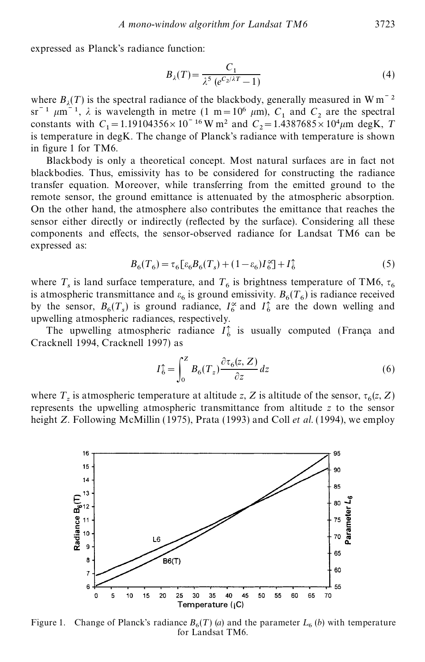expressed as Planck's radiance function:

$$
B_{\lambda}(T) = \frac{C_1}{\lambda^5 \left( e^{C_2/\lambda T} - 1 \right)}\tag{4}
$$

where  $B_\lambda(T)$  is the spectral radiance of the blackbody, generally measured in W m<sup> $-2$ </sup> where  $B_{\lambda}(I)$  is the spectral radiatice of the blackbody, generally measured in w in<br>  $\text{sr}^{-1}$   $\mu$ m<sup>-1</sup>,  $\lambda$  is wavelength in metre (1 m = 10<sup>6</sup>  $\mu$ m),  $C_1$  and  $C_2$  are the spectral  $^{1}$  and  $^{1}$ constants with  $C_1 = 1.19104356 \times 10^{-16}$  W m<sup>2</sup> and  $C_2 = 1.4387685 \times 10^4 \mu$ m degK, *T* is temperature in degK. The change of Planck's radiance with temperature is shown in figure 1 for TM6.

Blackbody is only a theoretical concept. Most natural surfaces are in fact not blackbodies. Thus, emissivity has to be considered for constructing the radiance transfer equation. Moreover, while transferring from the emitted ground to the remote sensor, the ground emittance is attenuated by the atmospheric absorption. On the other hand, the atmosphere also contributes the emittance that reaches the sensor either directly or indirectly (reflected by the surface). Considering all these components and effects, the sensor-observed radiance for Landsat TM6 can be expressed as:

$$
B_6(T_6) = \tau_6 \left[\varepsilon_6 B_6(T_s) + (1 - \varepsilon_6) I_6^{\infty}\right] + I_6^{\uparrow} \tag{5}
$$

where  $T_s$  is land surface temperature, and  $T_6$  is brightness temperature of TM6,  $\tau_6$ is atmospheric transmittance and  $\varepsilon_6$  is ground emissivity.  $B_6(T_6)$  is radiance received by the sensor,  $B_6(T_s)$  is ground radiance,  $I_6^{\infty}$  and  $I_6^{\uparrow}$  are the down welling and upwelling atmospheric radiances, respectively.

The upwelling atmospheric radiance  $I_6^{\uparrow}$  is usually computed (França and Cracknell 1994, Cracknell 1997) as

$$
I_{6}^{\ast} = \int_{0}^{Z} B_{6}(T_{z}) \frac{\partial \tau_{6}(z, Z)}{\partial z} dz
$$
 (6)

where  $T_z$  is atmospheric temperature at altitude *z*, *Z* is altitude of the sensor,  $\tau_6(z, Z)$ represents the upwelling atmospheric transmittance from altitude *z* to the sensor height *Z*. Following McMillin (1975), Prata (1993) and Coll *et al.* (1994), we employ



Figure 1. Change of Planck's radiance  $B_6(T)$  (*a*) and the parameter  $L_6$  (*b*) with temperature for Landsat TM6.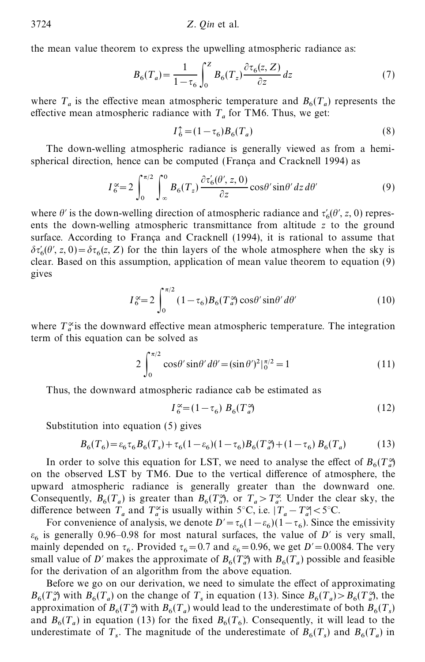the mean value theorem to express the upwelling atmospheric radiance as:

$$
B_6(T_a) = \frac{1}{1 - \tau_6} \int_0^Z B_6(T_z) \frac{\partial \tau_6(z, Z)}{\partial z} dz \tag{7}
$$

where  $T_a$  is the effective mean atmospheric temperature and  $B_6(T_a)$  represents the effective mean atmospheric radiance with  $T_a$  for TM6. Thus, we get:

$$
I_6^{\uparrow} = (1 - \tau_6) B_6(T_a)
$$
\n(8)

The down-welling atmospheric radiance is generally viewed as from a hemispherical direction, hence can be computed (França and Cracknell 1994) as

$$
I_6^{\infty} = 2 \int_0^{\pi/2} \int_{-\infty}^0 B_6(T_z) \frac{\partial \tau'_6(\theta', z, 0)}{\partial z} \cos\theta' \sin\theta' dz d\theta'
$$
 (9)

where  $\theta'$  is the down-welling direction of atmospheric radiance and  $\tau'_6(\theta', z, 0)$  represents the down-welling atmospheric transmittance from altitude *z* to the ground surface. According to França and Cracknell (1994), it is rational to assume that  $\delta \tau'_6(\theta', z, 0) = \delta \tau_6(z, Z)$  for the thin layers of the whole atmosphere when the sky is clear. Based on this assumption, application of mean value theorem to equation (9) gives

$$
I_6^{\infty} = 2 \int_0^{\pi/2} (1 - \tau_6) B_6(T_a^{\infty}) \cos\theta' \sin\theta' d\theta'
$$
 (10)

where  $T_a^{\infty}$  is the downward effective mean atmospheric temperature. The integration term of this equation can be solved as

$$
2\int_0^{\pi/2} \cos\theta' \sin\theta' d\theta' = (\sin\theta')^2 \vert_0^{\pi/2} = 1
$$
\n(11)

Thus, the downward atmospheric radiance cab be estimated as

$$
I_6^{\infty} = (1 - \tau_6) B_6(T_a^{\infty})
$$
\n<sup>(12)</sup>

Substitution into equation (5) gives

$$
B_6(T_6) = \varepsilon_6 \tau_6 B_6(T_s) + \tau_6 (1 - \varepsilon_6)(1 - \tau_6) B_6(T_a^{\alpha}) + (1 - \tau_6) B_6(T_a)
$$
(13)

In order to solve this equation for LST, we need to analyse the effect of  $B_6(T_a^{\infty})$ on the observed LST by TM6. Due to the vertical difference of atmosphere, the upward atmospheric radiance is generally greater than the downward one. Consequently,  $B_6(T_a)$  is greater than  $B_6(T_a^3)$ , or  $T_a > T_a^{\alpha}$ . Under the clear sky, the difference between  $T_a$  and  $T_a^{\infty}$  is usually within 5°C, i.e.  $|T_a - T_a^{\infty}| < 5^{\circ}$ C.

For convenience of analysis, we denote  $D' = \tau_6(1 - \epsilon_6)(1 - \tau_6)$ . Since the emissivity  $\varepsilon_6$  is generally 0.96–0.98 for most natural surfaces, the value of *D*<sup> $\prime$ </sup> is very small, mainly depended on  $\tau_6$ . Provided  $\tau_6 = 0.7$  and  $\varepsilon_6 = 0.96$ , we get  $D' = 0.0084$ . The very small value of *D*<sup> $\prime$ </sup> makes the approximate of  $B_6(T_a)$  with  $B_6(T_a)$  possible and feasible for the derivation of an algorithm from the above equation.

Before we go on our derivation, we need to simulate the effect of approximating  $B_6(T_a)$  with  $B_6(T_a)$  on the change of  $T_s$  in equation (13). Since  $B_6(T_a) > B_6(T_a)$ , the approximation of  $B_6(T_a)$  with  $B_6(T_a)$  would lead to the underestimate of both  $B_6(T_s)$ and  $B_6(T_a)$  in equation (13) for the fixed  $B_6(T_6)$ . Consequently, it will lead to the underestimate of  $T_s$ . The magnitude of the underestimate of  $B_6(T_s)$  and  $B_6(T_a)$  in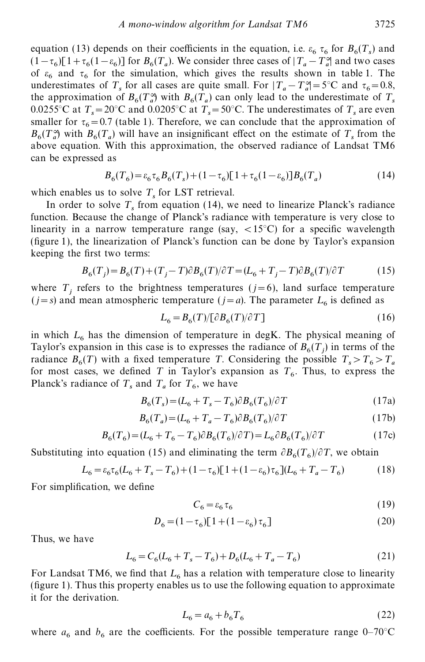equation (13) depends on their coefficients in the equation, i.e.  $\varepsilon_6 \tau_6$  for  $B_6(T_s)$  and  $(1-\tau_6)[1+\tau_6(1-\epsilon_6)]$  for  $B_6(T_a)$ . We consider three cases of  $|T_a-T_a^{\alpha}|$  and two cases of  $\varepsilon_6$  and  $\tau_6$  for the simulation, which gives the results shown in table 1. The underestimates of  $T_s$  for all cases are quite small. For  $|T_a - T_a^{\alpha}| = 5^{\circ}\text{C}$  and  $\tau_6 = 0.8$ , the approximation of  $B_6(T_a^{\alpha})$  with  $B_6(T_a)$  can only lead to the underestimate of  $T_s$ 0.0255°C at  $T_s = 20$ °C and 0.0205°C at  $T_s = 50$ °C. The underestimates of  $T_s$  are even smaller for  $\tau_6 = 0.7$  (table 1). Therefore, we can conclude that the approximation of  $B_6(T_a)$  with  $B_6(T_a)$  will have an insignificant effect on the estimate of  $T_s$  from the above equation. With this approximation, the observed radiance of Landsat TM6 can be expressed as

$$
B_6(T_6) = \varepsilon_6 \tau_6 B_6(T_s) + (1 - \tau_6)[1 + \tau_6(1 - \varepsilon_6)]B_6(T_a)
$$
\n(14)

which enables us to solve  $T_s$  for LST retrieval.

In order to solve  $T_s$  from equation (14), we need to linearize Planck's radiance function. Because the change of Planck's radiance with temperature is very close to linearity in a narrow temperature range (say,  $\langle 15^{\circ} \text{C} \rangle$ ) for a specific wavelength (figure 1), the linearization of Planck's function can be done by Taylor's expansion keeping the first two terms:

$$
B_6(T_j) = B_6(T) + (T_j - T)\partial B_6(T)/\partial T = (L_6 + T_j - T)\partial B_6(T)/\partial T
$$
 (15)

where  $T_j$  refers to the brightness temperatures ( $j=6$ ), land surface temperature  $(j=s)$  and mean atmospheric temperature  $(j=a)$ . The parameter  $L_6$  is defined as

$$
L_6 = B_6(T)/[\partial B_6(T)/\partial T]
$$
\n(16)

in which  $L_6$  has the dimension of temperature in degK. The physical meaning of Taylor's expansion in this case is to expresses the radiance of  $B_6(T_j)$  in terms of the radiance  $B_6(T)$  with a fixed temperature *T*. Considering the possible  $T_s > T_6 > T_a$ for most cases, we defined *T* in Taylor's expansion as  $T<sub>6</sub>$ . Thus, to express the Planck's radiance of  $T_s$  and  $T_a$  for  $T_6$ , we have

$$
B_6(T_s) = (L_6 + T_s - T_6) \partial B_6(T_6) / \partial T \tag{17a}
$$

$$
B_6(T_a) = (L_6 + T_a - T_6)\partial B_6(T_6)/\partial T
$$
\n(17b)

$$
B_6(T_6) = (L_6 + T_6 - T_6)\partial B_6(T_6)/\partial T = L_6 \partial B_6(T_6)/\partial T \tag{17c}
$$

Substituting into equation (15) and eliminating the term  $\partial B_6(T_6)/\partial T$ , we obtain

$$
L_6 = \varepsilon_6 \tau_6 (L_6 + T_s - T_6) + (1 - \tau_6) [1 + (1 - \varepsilon_6) \tau_6] (L_6 + T_a - T_6)
$$
(18)

For simplification, we define

$$
C_6 = \varepsilon_6 \tau_6 \tag{19}
$$

$$
D_6 = (1 - \tau_6)[1 + (1 - \varepsilon_6)\tau_6]
$$
\n(20)

Thus, we have

$$
L_6 = C_6(L_6 + T_s - T_6) + D_6(L_6 + T_a - T_6)
$$
\n(21)

For Landsat TM6, we find that  $L_6$  has a relation with temperature close to linearity  $(figure 1)$ . Thus this property enables us to use the following equation to approximate it for the derivation.

$$
L_6 = a_6 + b_6 T_6 \tag{22}
$$

where  $a_6$  and  $b_6$  are the coefficients. For the possible temperature range  $0-70^{\circ}$ C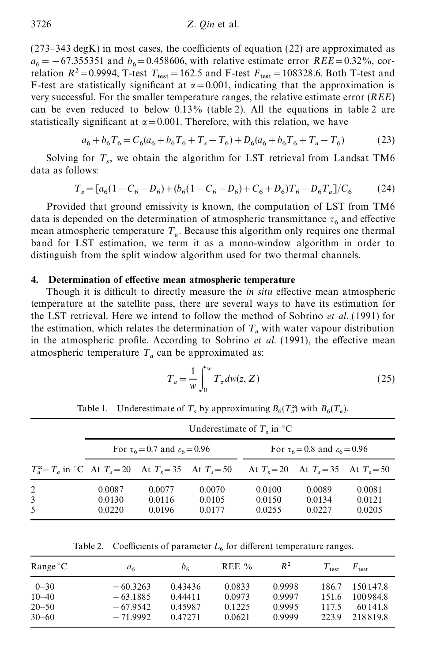$(273-343 \text{ degK})$  in most cases, the coefficients of equation (22) are approximated as  $a_6 = -67.355351$  and  $b_6 = 0.458606$ , with relative estimate error *REE*=0.32%, correlation  $R^2 = 0.9994$ , T-test  $T_{\text{test}} = 162.5$  and F-test  $F_{\text{test}} = 108328.6$ . Both T-test and F-test are statistically significant at  $\alpha$  = 0.001, indicating that the approximation is very successful. For the smaller temperature ranges, the relative estimate error (*REE*) can be even reduced to below 0.13% (table 2). All the equations in table 2 are statistically significant at  $\alpha$  = 0.001. Therefore, with this relation, we have

$$
a_6 + b_6 T_6 = C_6 (a_6 + b_6 T_6 + T_s - T_6) + D_6 (a_6 + b_6 T_6 + T_a - T_6)
$$
 (23)

Solving for  $T_s$ , we obtain the algorithm for LST retrieval from Landsat TM6 data as follows:

$$
T_s = [a_6(1 - C_6 - D_6) + (b_6(1 - C_6 - D_6) + C_6 + D_6)T_6 - D_6T_a]/C_6
$$
 (24)

Provided that ground emissivity is known, the computation of LST from TM6 data is depended on the determination of atmospheric transmittance  $\tau_6$  and effective mean atmospheric temperature  $T_a$ . Because this algorithm only requires one thermal band for LST estimation, we term it as a mono-window algorithm in order to distinguish from the split window algorithm used for two thermal channels.

#### **4.** Determination of effective mean atmospheric temperature

Though it is difficult to directly measure the *in situ* effective mean atmospheric temperature at the satellite pass, there are several ways to have its estimation for the LST retrieval. Here we intend to follow the method of Sobrino *et al.* (1991) for the estimation, which relates the determination of  $T_a$  with water vapour distribution in the atmospheric profile. According to Sobrino *et al.* (1991), the effective mean atmospheric temperature  $T_a$  can be approximated as:

$$
T_a = \frac{1}{w} \int_0^w T_z dw(z, Z) \tag{25}
$$

|                                                                      | Underestimate of $Ts$ in $^{\circ}$ C |                                               |                            |                                               |                                           |                            |  |  |
|----------------------------------------------------------------------|---------------------------------------|-----------------------------------------------|----------------------------|-----------------------------------------------|-------------------------------------------|----------------------------|--|--|
|                                                                      |                                       | For $\tau_6 = 0.7$ and $\varepsilon_6 = 0.96$ |                            | For $\tau_6 = 0.8$ and $\varepsilon_6 = 0.96$ |                                           |                            |  |  |
| $T_a^{\infty} - T_a$ in °C At $T_s = 20$ At $T_s = 35$ At $T_s = 50$ |                                       |                                               |                            |                                               | At $T_s = 20$ At $T_s = 35$ At $T_s = 50$ |                            |  |  |
| 2<br>3<br>5                                                          | 0.0087<br>0.0130<br>0.0220            | 0.0077<br>0.0116<br>0.0196                    | 0.0070<br>0.0105<br>0.0177 | 0.0100<br>0.0150<br>0.0255                    | 0.0089<br>0.0134<br>0.0227                | 0.0081<br>0.0121<br>0.0205 |  |  |

Table 1. Underestimate of  $T_s$  by approximating  $B_6(T_a^{\alpha})$  with  $B_6(T_a)$ .

Table 2. Coefficients of parameter  $L_6$  for different temperature ranges.

| $Range^{\circ}C$ | a <sub>6</sub> | b <sub>6</sub> | REE $\%$ | $R^2$  | $T_{\rm test}$ | $F_{\text{test}}$ |
|------------------|----------------|----------------|----------|--------|----------------|-------------------|
| $0 - 30$         | $-60.3263$     | 0.43436        | 0.0833   | 0.9998 | 186.7          | 150147.8          |
| $10 - 40$        | $-63.1885$     | 0.44411        | 0.0973   | 0.9997 | 151.6          | 100984.8          |
| $20 - 50$        | $-67.9542$     | 0.45987        | 0.1225   | 0.9995 | 117.5          | 60141.8           |
| $30 - 60$        | $-71.9992$     | 0.472.71       | 0.0621   | 0.9999 | 223.9          | 2188198           |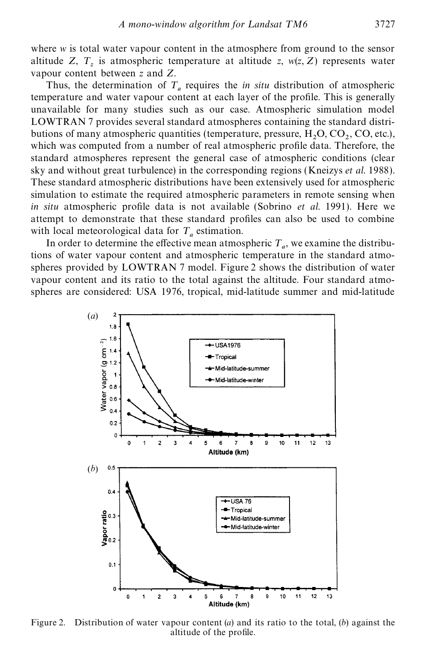where *w* is total water vapour content in the atmosphere from ground to the sensor altitude *Z*,  $T_z$  is atmospheric temperature at altitude *z*,  $w(z, Z)$  represents water vapour content between *z* and *Z*.

Thus, the determination of  $T_a$  requires the *in situ* distribution of atmospheric temperature and water vapour content at each layer of the profile. This is generally unavailable for many studies such as our case. Atmospheric simulation model LOWTRAN 7 provides several standard atmospheres containing the standard distributions of many atmospheric quantities (temperature, pressure,  $H_2O$ ,  $CO_2$ ,  $CO$ , etc.), which was computed from a number of real atmospheric profile data. Therefore, the standard atmospheres represent the general case of atmospheric conditions (clear sky and without great turbulence) in the corresponding regions (Kneizys *et al*. 1988). These standard atmospheric distributions have been extensively used for atmospheric simulation to estimate the required atmospheric parameters in remote sensing when *in situ* atmospheric profile data is not available (Sobrino *et al.* 1991). Here we attempt to demonstrate that these standard profiles can also be used to combine with local meteorological data for  $T_a$  estimation.

In order to determine the effective mean atmospheric  $T_a$ , we examine the distributions of water vapour content and atmospheric temperature in the standard atmospheres provided by LOWTRAN 7 model. Figure 2 shows the distribution of water vapour content and its ratio to the total against the altitude. Four standard atmospheres are considered: USA 1976, tropical, mid-latitude summer and mid-latitude



Figure 2. Distribution of water vapour content (*a*) and its ratio to the total, (*b*) against the altitude of the profile.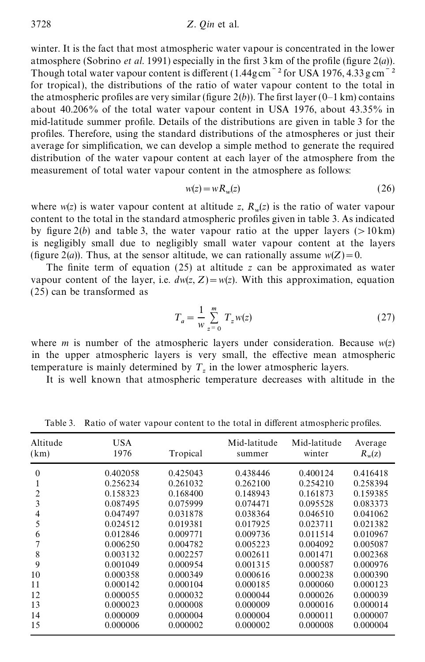winter. It is the fact that most atmospheric water vapour is concentrated in the lower atmosphere (Sobrino *et al.* 1991) especially in the first  $3 \text{ km of the profile (figure } 2(a))$ . Though total water vapour content is different  $(1.44gcm<sup>-2</sup>$  for USA 1976, 4.33 g cm<sup> $-2$ </sup> for tropical), the distributions of the ratio of water vapour content to the total in the atmospheric profiles are very similar (figure  $2(b)$ ). The first layer (0–1 km) contains about 40.206% of the total water vapour content in USA 1976, about 43.35% in mid-latitude summer profile. Details of the distributions are given in table 3 for the profiles. Therefore, using the standard distributions of the atmospheres or just their average for simplication, we can develop a simple method to generate the required distribution of the water vapour content at each layer of the atmosphere from the measurement of total water vapour content in the atmosphere as follows:

$$
w(z) = wR_w(z) \tag{26}
$$

where  $w(z)$  is water vapour content at altitude *z*,  $R_w(z)$  is the ratio of water vapour content to the total in the standard atmospheric profiles given in table 3. As indicated by figure  $2(b)$  and table 3, the water vapour ratio at the upper layers ( $>10 \text{ km}$ ) is negligibly small due to negligibly small water vapour content at the layers (figure 2(*a*)). Thus, at the sensor altitude, we can rationally assume  $w(Z) = 0$ .

The finite term of equation  $(25)$  at altitude *z* can be approximated as water vapour content of the layer, i.e.  $dw(z, Z) = w(z)$ . With this approximation, equation (25) can be transformed as

$$
T_a = \frac{1}{w} \sum_{z=0}^{m} T_z w(z)
$$
 (27)

where *m* is number of the atmospheric layers under consideration. Because  $w(z)$ in the upper atmospheric layers is very small, the effective mean atmospheric temperature is mainly determined by  $T_z$  in the lower atmospheric layers.

It is well known that atmospheric temperature decreases with altitude in the

| Altitude<br>(km)                                                          | <b>USA</b><br>1976                                                                                                                                                               | Tropical                                                                                                                                                                         | Mid-latitude<br>summer                                                                                                                                                           | Mid-latitude<br>winter                                                                                                                                                           | Average<br>$R_w(z)$                                                                                                                                                              |
|---------------------------------------------------------------------------|----------------------------------------------------------------------------------------------------------------------------------------------------------------------------------|----------------------------------------------------------------------------------------------------------------------------------------------------------------------------------|----------------------------------------------------------------------------------------------------------------------------------------------------------------------------------|----------------------------------------------------------------------------------------------------------------------------------------------------------------------------------|----------------------------------------------------------------------------------------------------------------------------------------------------------------------------------|
| $\theta$<br>2<br>3<br>4<br>5<br>6<br>8<br>9<br>10<br>11<br>12<br>13<br>14 | 0.402058<br>0.256234<br>0.158323<br>0.087495<br>0.047497<br>0.024512<br>0.012846<br>0.006250<br>0.003132<br>0.001049<br>0.000358<br>0.000142<br>0.000055<br>0.000023<br>0.000009 | 0.425043<br>0.261032<br>0.168400<br>0.075999<br>0.031878<br>0.019381<br>0.009771<br>0.004782<br>0.002257<br>0.000954<br>0.000349<br>0.000104<br>0.000032<br>0.000008<br>0.000004 | 0.438446<br>0.262100<br>0.148943<br>0.074471<br>0.038364<br>0.017925<br>0.009736<br>0.005223<br>0.002611<br>0.001315<br>0.000616<br>0.000185<br>0.000044<br>0.000009<br>0.000004 | 0.400124<br>0.254210<br>0.161873<br>0.095528<br>0.046510<br>0.023711<br>0.011514<br>0.004092<br>0.001471<br>0.000587<br>0.000238<br>0.000060<br>0.000026<br>0.000016<br>0.000011 | 0.416418<br>0.258394<br>0.159385<br>0.083373<br>0.041062<br>0.021382<br>0.010967<br>0.005087<br>0.002368<br>0.000976<br>0.000390<br>0.000123<br>0.000039<br>0.000014<br>0.000007 |
| 15                                                                        | 0.000006                                                                                                                                                                         | 0.000002                                                                                                                                                                         | 0.000002                                                                                                                                                                         | 0.000008                                                                                                                                                                         | 0.000004                                                                                                                                                                         |

Table 3. Ratio of water vapour content to the total in different atmospheric profiles.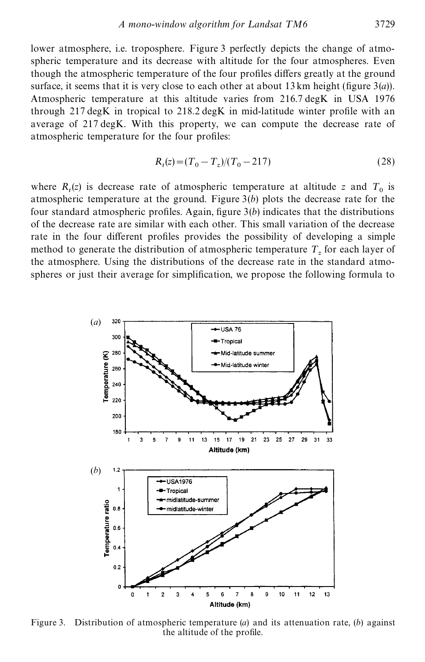lower atmosphere, i.e. troposphere. Figure 3 perfectly depicts the change of atmospheric temperature and its decrease with altitude for the four atmospheres. Even though the atmospheric temperature of the four profiles differs greatly at the ground surface, it seems that it is very close to each other at about 13 km height (figure  $3(a)$ ). Atmospheric temperature at this altitude varies from 216.7 degK in USA 1976 through  $217 \text{ degK}$  in tropical to  $218.2 \text{ degK}$  in mid-latitude winter profile with an average of 217 degK. With this property, we can compute the decrease rate of atmospheric temperature for the four profiles:

$$
R_t(z) = (T_0 - T_z)/(T_0 - 217)
$$
\n(28)

where  $R_t(z)$  is decrease rate of atmospheric temperature at altitude *z* and  $T_0$  is atmospheric temperature at the ground. Figure 3(*b*) plots the decrease rate for the four standard atmospheric profiles. Again, figure  $3(b)$  indicates that the distributions of the decrease rate are similar with each other. This small variation of the decrease rate in the four different profiles provides the possibility of developing a simple method to generate the distribution of atmospheric temperature  $T_z$  for each layer of the atmosphere. Using the distributions of the decrease rate in the standard atmospheres or just their average for simplication, we propose the following formula to



Figure 3. Distribution of atmospheric temperature (*a*) and its attenuation rate, (*b*) against the altitude of the profile.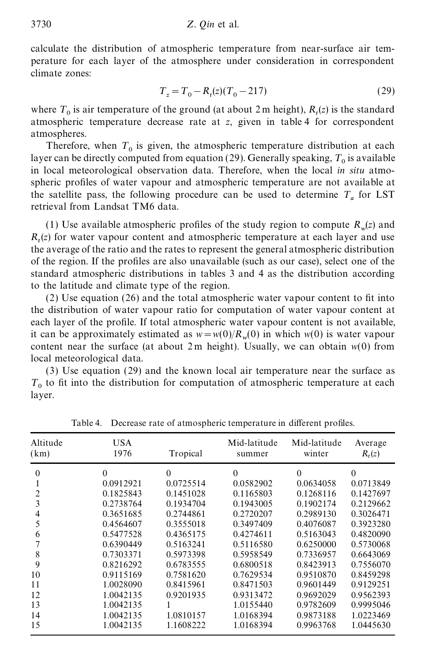calculate the distribution of atmospheric temperature from near-surface air temperature for each layer of the atmosphere under consideration in correspondent climate zones:

$$
T_z = T_0 - R_t(z)(T_0 - 217)
$$
\n(29)

where  $T_0$  is air temperature of the ground (at about 2 m height),  $R_t(z)$  is the standard atmospheric temperature decrease rate at *z*, given in table 4 for correspondent atmospheres.

Therefore, when  $T_0$  is given, the atmospheric temperature distribution at each  $T_0$  is given, the atmospheric temperature distribution at each layer can be directly computed from equation (29). Generally speaking,  $T_0$  is available in local meteorological observation data. Therefore, when the local *in situ* atmospheric profiles of water vapour and atmospheric temperature are not available at the satellite pass, the following procedure can be used to determine  $T_a$  for LST retrieval from Landsat TM6 data.

(1) Use available atmospheric profiles of the study region to compute  $R_w(z)$  and  $R_t(z)$  for water vapour content and atmospheric temperature at each layer and use the average of the ratio and the rates to represent the general atmospheric distribution of the region. If the profiles are also unavailable (such as our case), select one of the standard atmospheric distributions in tables 3 and 4 as the distribution according to the latitude and climate type of the region.

 $(2)$  Use equation  $(26)$  and the total atmospheric water vapour content to fit into the distribution of water vapour ratio for computation of water vapour content at each layer of the profile. If total atmospheric water vapour content is not available, it can be approximately estimated as  $w = w(0)/R_w(0)$  in which  $w(0)$  is water vapour content near the surface (at about  $2m$  height). Usually, we can obtain  $w(0)$  from local meteorological data.

(3) Use equation (29) and the known local air temperature near the surface as  $T_0$  to fit into the distribution for computation of atmospheric temperature at each layer.

| Altitude                                    | USA                                                                                                                           | Tropical                                                                                                                      | Mid-latitude                                                                                                                  | Mid-latitude                                                                                                                  | Average                                                                                                                       |
|---------------------------------------------|-------------------------------------------------------------------------------------------------------------------------------|-------------------------------------------------------------------------------------------------------------------------------|-------------------------------------------------------------------------------------------------------------------------------|-------------------------------------------------------------------------------------------------------------------------------|-------------------------------------------------------------------------------------------------------------------------------|
| (km)                                        | 1976                                                                                                                          |                                                                                                                               | summer                                                                                                                        | winter                                                                                                                        | $R_t(z)$                                                                                                                      |
| $\Omega$<br>2<br>3<br>4<br>5<br>6<br>8<br>9 | $\theta$<br>0.0912921<br>0.1825843<br>0.2738764<br>0.3651685<br>0.4564607<br>0.5477528<br>0.6390449<br>0.7303371<br>0.8216292 | $\theta$<br>0.0725514<br>0.1451028<br>0.1934704<br>0.2744861<br>0.3555018<br>0.4365175<br>0.5163241<br>0.5973398<br>0.6783555 | $\Omega$<br>0.0582902<br>0.1165803<br>0.1943005<br>0.2720207<br>0.3497409<br>0.4274611<br>0.5116580<br>0.5958549<br>0.6800518 | $\theta$<br>0.0634058<br>0.1268116<br>0.1902174<br>0.2989130<br>0.4076087<br>0.5163043<br>0.6250000<br>0.7336957<br>0.8423913 | $\Omega$<br>0.0713849<br>0.1427697<br>0.2129662<br>0.3026471<br>0.3923280<br>0.4820090<br>0.5730068<br>0.6643069<br>0.7556070 |
| 10                                          | 0.9115169                                                                                                                     | 0.7581620                                                                                                                     | 0.7629534                                                                                                                     | 0.9510870                                                                                                                     | 0.8459298                                                                                                                     |
| 11                                          | 1.0028090                                                                                                                     | 0.8415961                                                                                                                     | 0.8471503                                                                                                                     | 0.9601449                                                                                                                     | 0.9129251                                                                                                                     |
| 12                                          | 1.0042135                                                                                                                     | 0.9201935                                                                                                                     | 0.9313472                                                                                                                     | 0.9692029                                                                                                                     | 0.9562393                                                                                                                     |
| 13                                          | 1.0042135                                                                                                                     | 1                                                                                                                             | 1.0155440                                                                                                                     | 0.9782609                                                                                                                     | 0.9995046                                                                                                                     |
| 14                                          | 1.0042135                                                                                                                     | 1.0810157                                                                                                                     | 1.0168394                                                                                                                     | 0.9873188                                                                                                                     | 1.0223469                                                                                                                     |
| 15                                          | 1.0042135                                                                                                                     | 1.1608222                                                                                                                     | 1.0168394                                                                                                                     | 0.9963768                                                                                                                     | 1.0445630                                                                                                                     |

Table 4. Decrease rate of atmospheric temperature in different profiles.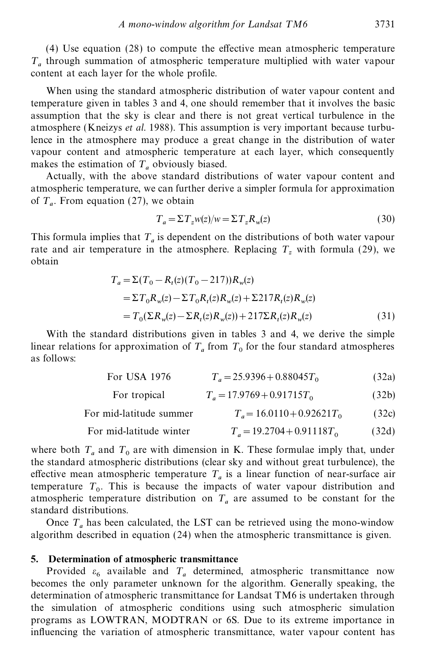$(4)$  Use equation  $(28)$  to compute the effective mean atmospheric temperature *T a* through summation of atmospheric temperature multiplied with water vapour content at each layer for the whole profile.

When using the standard atmospheric distribution of water vapour content and temperature given in tables 3 and 4, one should remember that it involves the basic assumption that the sky is clear and there is not great vertical turbulence in the atmosphere (Kneizys *et al*. 1988). This assumption is very important because turbulence in the atmosphere may produce a great change in the distribution of water vapour content and atmospheric temperature at each layer, which consequently makes the estimation of  $T_a$  obviously biased.

Actually, with the above standard distributions of water vapour content and atmospheric temperature, we can further derive a simpler formula for approximation of  $T_a$ . From equation (27), we obtain

$$
T_a = \Sigma T_z w(z) / w = \Sigma T_z R_w(z)
$$
\n(30)

This formula implies that  $T_a$  is dependent on the distributions of both water vapour rate and air temperature in the atmosphere. Replacing  $T_z$  with formula (29), we obtain

$$
T_a = \Sigma (T_0 - R_t(z)(T_0 - 217)) R_w(z)
$$
  
=  $\Sigma T_0 R_w(z) - \Sigma T_0 R_t(z) R_w(z) + \Sigma 217 R_t(z) R_w(z)$   
=  $T_0(\Sigma R_w(z) - \Sigma R_t(z) R_w(z)) + 217 \Sigma R_t(z) R_w(z)$  (31)

With the standard distributions given in tables 3 and 4, we derive the simple linear relations for approximation of  $T_a$  from  $T_0$  for the four standard atmospheres as follows:

> For USA 1976  $T_a = 25.9396 + 0.88045T_0$ (32a)

| $T_a = 17.9769 + 0.91715T_0$<br>(32b) |
|---------------------------------------|
|                                       |

| For mid-latitude summer | $T_a = 16.0110 + 0.92621T_0$ | (32c) |
|-------------------------|------------------------------|-------|
| For mid-latitude winter | $T_a = 19.2704 + 0.91118T_0$ | (32d) |

where both  $T_a$  and  $T_0$  are with dimension in K. These formulae imply that, under the standard atmospheric distributions (clear sky and without great turbulence), the effective mean atmospheric temperature  $T_a$  is a linear function of near-surface air temperature  $T_0$ . This is because the impacts of water vapour distribution and atmospheric temperature distribution on  $T_a$  are assumed to be constant for the standard distributions.

Once  $T_a$  has been calculated, the LST can be retrieved using the mono-window algorithm described in equation (24) when the atmospheric transmittance is given.

### **5. Determination of atmospheric transmittance**

Provided  $\varepsilon_6$  available and  $T_a$  determined, atmospheric transmittance now becomes the only parameter unknown for the algorithm. Generally speaking, the determination of atmospheric transmittance for Landsat TM6 is undertaken through the simulation of atmospheric conditions using such atmospheric simulation programs as LOWTRAN, MODTRAN or 6S. Due to its extreme importance in influencing the variation of atmospheric transmittance, water vapour content has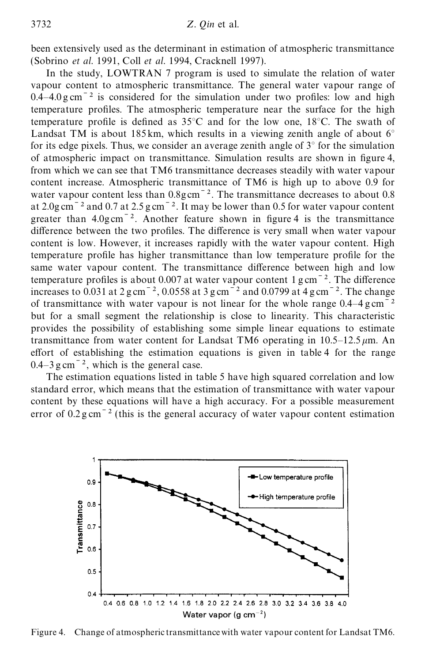been extensively used as the determinant in estimation of atmospheric transmittance (Sobrino *et al.* 1991, Coll *et al.* 1994, Cracknell 1997).

In the study, LOWTRAN 7 program is used to simulate the relation of water vapour content to atmospheric transmittance. The general water vapour range of  $0.4-4.0$  g cm<sup> $-2$ </sup> is considered for the simulation under two profiles: low and high temperature profiles. The atmospheric temperature near the surface for the high temperature profile is defined as  $35^{\circ}$ C and for the low one,  $18^{\circ}$ C. The swath of Landsat TM is about 185 km, which results in a viewing zenith angle of about  $6^\circ$ for its edge pixels. Thus, we consider an average zenith angle of  $3^{\circ}$  for the simulation of atmospheric impact on transmittance. Simulation results are shown in gure 4, from which we can see that TM6 transmittance decreases steadily with water vapour content increase. Atmospheric transmittance of TM6 is high up to above 0.9 for water vapour content less than  $0.8$ gcm<sup> $-2$ </sup>. The transmittance decreases to about 0.8 at  $2.0$ g cm<sup> $-2$ </sup> and 0.7 at  $2.5$ g cm $^{-2}$ . It may be lower than 0.5 for water vapour content greater than  $4.0$ gcm<sup> $-2$ </sup>. Another feature shown in figure 4 is the transmittance difference between the two profiles. The difference is very small when water vapour content is low. However, it increases rapidly with the water vapour content. High temperature profile has higher transmittance than low temperature profile for the same water vapour content. The transmittance difference between high and low temperature profiles is about 0.007 at water vapour content  $1 \text{ g cm}^{-2}$ . The difference increases to  $0.031$  at  $2 \text{ g cm}^{-2}$ ,  $0.0558$  at  $3 \text{ g cm}^{-2}$  and  $0.0799$  at  $4 \text{ g cm}^{-2}$ . The change of transmittance with water vapour is not linear for the whole range  $0.4-4 \text{ g cm}^{-2}$ but for a small segment the relationship is close to linearity. This characteristic provides the possibility of establishing some simple linear equations to estimate transmittance from water content for Landsat TM6 operating in  $10.5-12.5 \mu m$ . An effort of establishing the estimation equations is given in table 4 for the range  $0.4-3$  g cm<sup> $-2$ </sup>, which is the general case.

The estimation equations listed in table 5 have high squared correlation and low standard error, which means that the estimation of transmittance with water vapour content by these equations will have a high accuracy. For a possible measurement error of  $0.2 g$  cm<sup> $-2$ </sup> (this is the general accuracy of water vapour content estimation



Figure 4. Change of atmospheric transmittancewith water vapour content for Landsat TM6.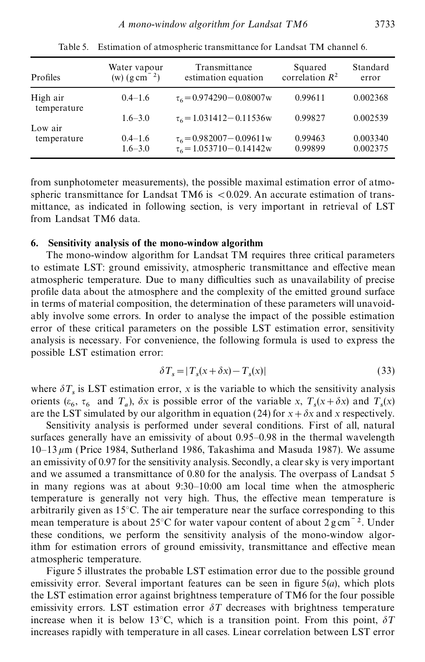|                      | correlation $R^2$  |
|----------------------|--------------------|
| 0.002368             | 0.99611            |
| 0.002539             | 0.99827            |
| 0.003340<br>0.002375 | 0.99463<br>0.99899 |
|                      |                    |

Table 5. Estimation of atmospheric transmittance for Landsat TM channel 6.

from sunphotometer measurements), the possible maximal estimation error of atmospheric transmittance for Landsat TM6 is <0.029. An accurate estimation of transmittance, as indicated in following section, is very important in retrieval of LST from Landsat TM6 data.

#### **6. Sensitivity analysis of the mono-window algorithm**

The mono-window algorithm for Landsat TM requires three critical parameters to estimate LST: ground emissivity, atmospheric transmittance and effective mean atmospheric temperature. Due to many difficulties such as unavailability of precise profile data about the atmosphere and the complexity of the emitted ground surface in terms of material composition, the determination of these parameters will unavoidably involve some errors. In order to analyse the impact of the possible estimation error of these critical parameters on the possible LST estimation error, sensitivity analysis is necessary. For convenience, the following formula is used to express the possible LST estimation error:

$$
\delta T_s = |T_s(x + \delta x) - T_s(x)|\tag{33}
$$

where  $\delta T_s$  is LST estimation error, *x* is the variable to which the sensitivity analysis orients ( $\varepsilon_6$ ,  $\tau_6$  and  $T_a$ ),  $\delta x$  is possible error of the variable *x*,  $T_s(x + \delta x)$  and  $T_s(x)$ are the LST simulated by our algorithm in equation (24) for  $x + \delta x$  and x respectively.

Sensitivity analysis is performed under several conditions. First of all, natural surfaces generally have an emissivity of about 0.95–0.98 in the thermal wavelength  $10-13 \mu m$  (Price 1984, Sutherland 1986, Takashima and Masuda 1987). We assume an emissivity of 0.97 for the sensitivity analysis. Secondly, a clear sky is very important and we assumed a transmittance of 0.80 for the analysis. The overpass of Landsat 5 in many regions was at about 9:30–10:00 am local time when the atmospheric temperature is generally not very high. Thus, the effective mean temperature is arbitrarily given as 15°C. The air temperature near the surface corresponding to this mean temperature is about 25 $\degree$ C for water vapour content of about 2 g cm<sup> $-2$ </sup>. Under these conditions, we perform the sensitivity analysis of the mono-window algorithm for estimation errors of ground emissivity, transmittance and effective mean atmospheric temperature.

Figure 5 illustrates the probable LST estimation error due to the possible ground emissivity error. Several important features can be seen in figure  $5(a)$ , which plots the LST estimation error against brightness temperature of TM6 for the four possible emissivity errors. LST estimation error  $\delta T$  decreases with brightness temperature increase when it is below 13<sup>o</sup>C, which is a transition point. From this point,  $\delta T$ increases rapidly with temperature in all cases. Linear correlation between LST error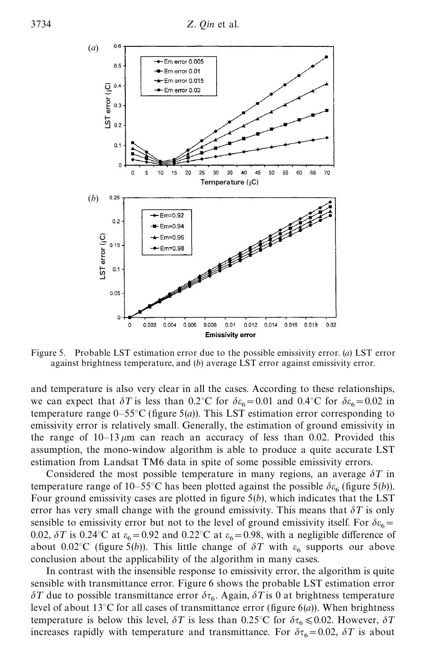

Figure 5. Probable LST estimation error due to the possible emissivity error. (*a*) LST error against brightness temperature, and (*b*) average LST error against emissivity error.

and temperature is also very clear in all the cases. According to these relationships, we can expect that  $\delta T$  is less than 0.2°C for  $\delta \varepsilon_6 = 0.01$  and 0.4°C for  $\delta \varepsilon_6 = 0.02$  in temperature range  $0-55^{\circ}$ C (figure 5(*a*)). This LST estimation error corresponding to emissivity error is relatively small. Generally, the estimation of ground emissivity in the range of  $10-13 \mu m$  can reach an accuracy of less than 0.02. Provided this assumption, the mono-window algorithm is able to produce a quite accurate LST estimation from Landsat TM6 data in spite of some possible emissivity errors.

Considered the most possible temperature in many regions, an average  $\delta T$  in temperature range of 10–55°C has been plotted against the possible  $\delta \varepsilon_6$  (figure 5(*b*)). Four ground emissivity cases are plotted in figure  $5(b)$ , which indicates that the LST error has very small change with the ground emissivity. This means that  $\delta T$  is only sensible to emissivity error but not to the level of ground emissivity itself. For  $\delta \epsilon_6 =$ 0.02,  $\delta T$  is 0.24°C at  $\varepsilon_6 = 0.92$  and 0.22°C at  $\varepsilon_6 = 0.98$ , with a negligible difference of about 0.02°C (figure 5(*b*)). This little change of  $\delta T$  with  $\varepsilon_6$  supports our above conclusion about the applicability of the algorithm in many cases.

In contrast with the insensible response to emissivity error, the algorithm is quite sensible with transmittance error. Figure 6 shows the probable LST estimation error  $\delta T$  due to possible transmittance error  $\delta \tau_6$ . Again,  $\delta T$  is 0 at brightness temperature level of about 13<sup>°</sup>C for all cases of transmittance error (figure 6(*a*)). When brightness temperature is below this level,  $\delta T$  is less than 0.25°C for  $\delta \tau_6 \leq 0.02$ . However,  $\delta T$ increases rapidly with temperature and transmittance. For  $\delta\tau_6 = 0.02$ ,  $\delta T$  is about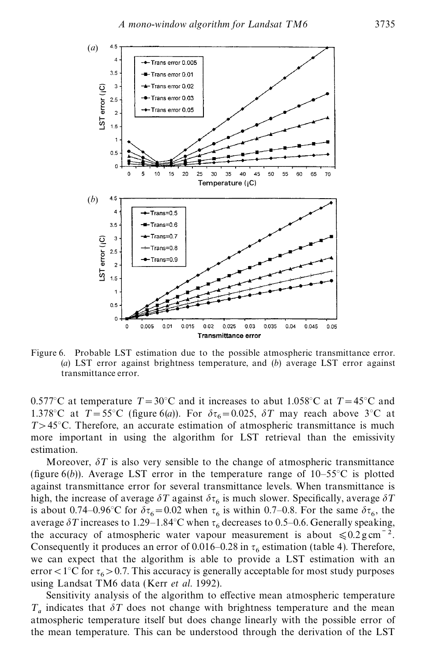

Figure 6. Probable LST estimation due to the possible atmospheric transmittance error. (*a*) LST error against brightness temperature, and (*b*) average LST error against transmittance error.

0.577°C at temperature  $T = 30$ °C and it increases to abut 1.058°C at  $T = 45$ °C and 1.378°C at  $T = 55$ °C (figure 6(*a*)). For  $\delta \tau_6 = 0.025$ ,  $\delta T$  may reach above 3°C at *T*>45°C. Therefore, an accurate estimation of atmospheric transmittance is much more important in using the algorithm for LST retrieval than the emissivity estimation.

Moreover,  $\delta T$  is also very sensible to the change of atmospheric transmittance (figure  $6(b)$ ). Average LST error in the temperature range of  $10-55^{\circ}$ C is plotted against transmittance error for several transmittance levels. When transmittance is high, the increase of average  $\delta T$  against  $\delta \tau_6$  is much slower. Specifically, average  $\delta T$ is about 0.74–0.96°C for  $\delta \tau_6 = 0.02$  when  $\tau_6$  is within 0.7–0.8. For the same  $\delta \tau_6$ , the average  $\delta T$  increases to 1.29–1.84°C when  $\tau_6$  decreases to 0.5–0.6. Generally speaking, the accuracy of atmospheric water vapour measurement is about  $\leq 0.2 \text{ g cm}^{-2}$ . Consequently it produces an error of 0.016–0.28 in  $\tau_6$  estimation (table 4). Therefore, we can expect that the algorithm is able to provide a LST estimation with an error < 1°C for  $\tau_6$  > 0.7. This accuracy is generally acceptable for most study purposes using Landsat TM6 data (Kerr *et al.* 1992).

Sensitivity analysis of the algorithm to effective mean atmospheric temperature  $T_a$  indicates that  $\delta T$  does not change with brightness temperature and the mean atmospheric temperature itself but does change linearly with the possible error of the mean temperature. This can be understood through the derivation of the LST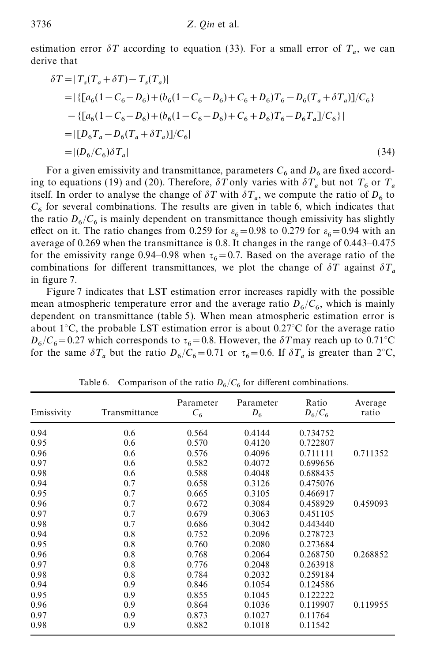estimation error  $\delta T$  according to equation (33). For a small error of  $T_a$ , we can derive that

$$
\delta T = |T_s(T_a + \delta T) - T_s(T_a)|
$$
  
\n
$$
= |\{ [a_6(1 - C_6 - D_6) + (b_6(1 - C_6 - D_6) + C_6 + D_6)T_6 - D_6(T_a + \delta T_a)]/C_6 \}
$$
  
\n
$$
- \{ [a_6(1 - C_6 - D_6) + (b_6(1 - C_6 - D_6) + C_6 + D_6)T_6 - D_6T_a]/C_6 \}
$$
  
\n
$$
= |[D_6T_a - D_6(T_a + \delta T_a)]/C_6|
$$
  
\n
$$
= |(D_6/C_6)\delta T_a|
$$
\n(34)

For a given emissivity and transmittance, parameters  $C_6$  and  $D_6$  are fixed according to equations (19) and (20). Therefore,  $\delta T$  only varies with  $\delta T_a$  but not  $T_6$  or  $T_a$ itself. In order to analyse the change of  $\delta T$  with  $\delta T_a$ , we compute the ratio of  $D_6$  to  $C_6$  for several combinations. The results are given in table 6, which indicates that the ratio  $D_6/C_6$  is mainly dependent on transmittance though emissivity has slightly effect on it. The ratio changes from 0.259 for  $\varepsilon_6 = 0.98$  to 0.279 for  $\varepsilon_6 = 0.94$  with an average of 0.269 when the transmittance is 0.8. It changes in the range of 0.443–0.475 for the emissivity range 0.94–0.98 when  $\tau_6 = 0.7$ . Based on the average ratio of the combinations for different transmittances, we plot the change of  $\delta T$  against  $\delta T_a$ in figure 7.

Figure 7 indicates that LST estimation error increases rapidly with the possible mean atmospheric temperature error and the average ratio  $D_6/C_6$ , which is mainly dependent on transmittance (table 5). When mean atmospheric estimation error is about 1 $\degree$ C, the probable LST estimation error is about 0.27 $\degree$ C for the average ratio  $D_6/C_6 = 0.27$  which corresponds to  $\tau_6 = 0.8$ . However, the  $\delta T$  may reach up to  $0.71^{\circ}$ C for the same  $\delta T_a$  but the ratio  $D_6/C_6 = 0.71$  or  $\tau_6 = 0.6$ . If  $\delta T_a$  is greater than  $2^{\circ}$ C,

| Emissivity | Transmittance | Parameter<br>$C_6$ | Parameter<br>$D_6$ | Ratio<br>$D_6/C_6$ | Average<br>ratio |
|------------|---------------|--------------------|--------------------|--------------------|------------------|
| 0.94       | 0.6           | 0.564              | 0.4144             | 0.734752           |                  |
| 0.95       | 0.6           | 0.570              | 0.4120             | 0.722807           |                  |
| 0.96       | 0.6           | 0.576              | 0.4096             | 0.711111           | 0.711352         |
| 0.97       | 0.6           | 0.582              | 0.4072             | 0.699656           |                  |
| 0.98       | 0.6           | 0.588              | 0.4048             | 0.688435           |                  |
| 0.94       | 0.7           | 0.658              | 0.3126             | 0.475076           |                  |
| 0.95       | 0.7           | 0.665              | 0.3105             | 0.466917           |                  |
| 0.96       | 0.7           | 0.672              | 0.3084             | 0.458929           | 0.459093         |
| 0.97       | 0.7           | 0.679              | 0.3063             | 0.451105           |                  |
| 0.98       | 0.7           | 0.686              | 0.3042             | 0.443440           |                  |
| 0.94       | 0.8           | 0.752              | 0.2096             | 0.278723           |                  |
| 0.95       | 0.8           | 0.760              | 0.2080             | 0.273684           |                  |
| 0.96       | 0.8           | 0.768              | 0.2064             | 0.268750           | 0.268852         |
| 0.97       | 0.8           | 0.776              | 0.2048             | 0.263918           |                  |
| 0.98       | 0.8           | 0.784              | 0.2032             | 0.259184           |                  |
| 0.94       | 0.9           | 0.846              | 0.1054             | 0.124586           |                  |
| 0.95       | 0.9           | 0.855              | 0.1045             | 0.122222           |                  |
| 0.96       | 0.9           | 0.864              | 0.1036             | 0.119907           | 0.119955         |
| 0.97       | 0.9           | 0.873              | 0.1027             | 0.11764            |                  |
| 0.98       | 0.9           | 0.882              | 0.1018             | 0.11542            |                  |

Table 6. Comparison of the ratio  $D_6/C_6$  for different combinations.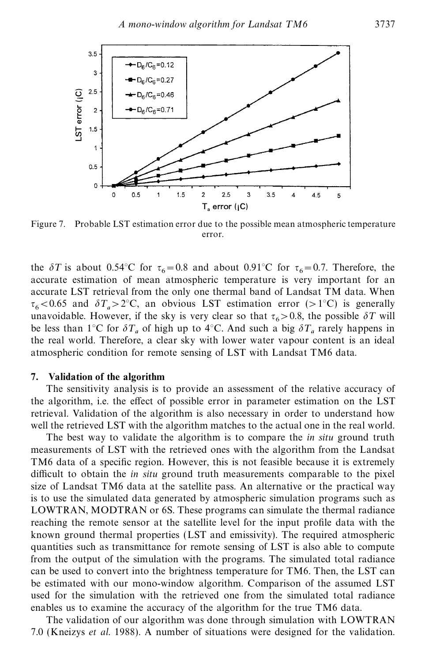

Figure 7. Probable LST estimation error due to the possible mean atmospheric temperature error.

the  $\delta T$  is about 0.54°C for  $\tau_6 = 0.8$  and about 0.91°C for  $\tau_6 = 0.7$ . Therefore, the accurate estimation of mean atmospheric temperature is very important for an accurate LST retrieval from the only one thermal band of Landsat TM data. When  $\tau_6 < 0.65$  and  $\delta T_a > 2^{\circ}\text{C}$ , an obvious LST estimation error (>1°C) is generally unavoidable. However, if the sky is very clear so that  $\tau_6 > 0.8$ , the possible  $\delta T$  will be less than 1<sup>°</sup>C for  $\delta T_a$  of high up to 4<sup>°</sup>C. And such a big  $\delta T_a$  rarely happens in the real world. Therefore, a clear sky with lower water vapour content is an ideal atmospheric condition for remote sensing of LST with Landsat TM6 data.

### **7. Validation of the algorithm**

The sensitivity analysis is to provide an assessment of the relative accuracy of the algorithm, i.e. the effect of possible error in parameter estimation on the LST retrieval. Validation of the algorithm is also necessary in order to understand how well the retrieved LST with the algorithm matches to the actual one in the real world.

The best way to validate the algorithm is to compare the *in situ* ground truth measurements of LST with the retrieved ones with the algorithm from the Landsat TM6 data of a specific region. However, this is not feasible because it is extremely difficult to obtain the *in situ* ground truth measurements comparable to the pixel size of Landsat TM6 data at the satellite pass. An alternative or the practical way is to use the simulated data generated by atmospheric simulation programs such as LOWTRAN, MODTRAN or 6S. These programs can simulate the thermal radiance reaching the remote sensor at the satellite level for the input profile data with the known ground thermal properties (LST and emissivity). The required atmospheric quantities such as transmittance for remote sensing of LST is also able to compute from the output of the simulation with the programs. The simulated total radiance can be used to convert into the brightness temperature for TM6. Then, the LST can be estimated with our mono-window algorithm. Comparison of the assumed LST used for the simulation with the retrieved one from the simulated total radiance enables us to examine the accuracy of the algorithm for the true TM6 data.

The validation of our algorithm was done through simulation with LOWTRAN 7.0 (Kneizys *et al*. 1988). A number of situations were designed for the validation.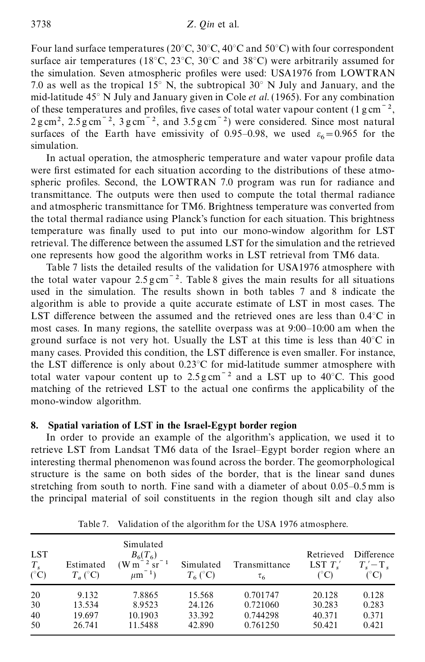Four land surface temperatures ( $20^{\circ}$ C,  $30^{\circ}$ C,  $40^{\circ}$ C and  $50^{\circ}$ C) with four correspondent surface air temperatures (18°C, 23°C, 30°C and 38°C) were arbitrarily assumed for the simulation. Seven atmospheric profiles were used: USA1976 from LOWTRAN 7.0 as well as the tropical 15° N, the subtropical 30° N July and January, and the mid-latitude 45° N July and January given in Cole *et al.* (1965). For any combination of these temperatures and profiles, five cases of total water vapour content (1 g cm<sup> $-2$ </sup>,  $2 \text{ g cm}^2$ ,  $2.5 \text{ g cm}^{-2}$ ,  $3 \text{ g cm}^{-2}$ , and  $3.5 \text{ g cm}^{-2}$ ) were considered. Since most natural surfaces of the Earth have emissivity of 0.95–0.98, we used  $\varepsilon_6 = 0.965$  for the simulation.

In actual operation, the atmospheric temperature and water vapour profile data were first estimated for each situation according to the distributions of these atmospheric profiles. Second, the LOWTRAN 7.0 program was run for radiance and transmittance. The outputs were then used to compute the total thermal radiance and atmospheric transmittance for TM6. Brightness temperature was converted from the total thermal radiance using Planck's function for each situation. This brightness temperature was finally used to put into our mono-window algorithm for LST retrieval. The difference between the assumed LST for the simulation and the retrieved one represents how good the algorithm works in LST retrieval from TM6 data.

Table 7 lists the detailed results of the validation for USA1976 atmosphere with the total water vapour  $2.5 \text{ g cm}^{-2}$ . Table 8 gives the main results for all situations used in the simulation. The results shown in both tables 7 and 8 indicate the algorithm is able to provide a quite accurate estimate of LST in most cases. The LST difference between the assumed and the retrieved ones are less than  $0.4^{\circ}$ C in most cases. In many regions, the satellite overpass was at 9:00–10:00 am when the ground surface is not very hot. Usually the LST at this time is less than  $40^{\circ}$ C in many cases. Provided this condition, the LST difference is even smaller. For instance, the LST difference is only about  $0.23^{\circ}$ C for mid-latitude summer atmosphere with total water vapour content up to  $2.5 \text{ g cm}^{-2}$  and a LST up to 40°C. This good matching of the retrieved LST to the actual one confirms the applicability of the mono-window algorithm.

# **8. Spatial variation of LST in the Israel-Egypt border region**

In order to provide an example of the algorithm's application, we used it to retrieve LST from Landsat TM6 data of the Israel–Egypt border region where an interesting thermal phenomenon was found across the border. The geomorphological structure is the same on both sides of the border, that is the linear sand dunes stretching from south to north. Fine sand with a diameter of about 0.05–0.5 mm is the principal material of soil constituents in the region though silt and clay also

| <b>LST</b><br>$T_{s}$<br>$(^{\circ}C)$ | Estimated<br>$T_a (^\circ \text{C})$ | Simulated<br>$B_6(T_6)$<br>$^{-2}$ sr <sup>-1</sup><br>W m<br>$-1$<br>$\mu$ m | Simulated<br>$T_6(^{\circ}C)$ | Transmittance<br>$\tau_{6}$ | Retrieved<br>LST $T'$ ,<br>(°C) | Difference<br>$T' - T$ .<br>(°C) |
|----------------------------------------|--------------------------------------|-------------------------------------------------------------------------------|-------------------------------|-----------------------------|---------------------------------|----------------------------------|
| 20                                     | 9.132                                | 7.8865                                                                        | 15.568                        | 0.701747                    | 20.128                          | 0.128                            |
| 30                                     | 13.534                               | 8.9523                                                                        | 24.126                        | 0.721060                    | 30.283                          | 0.283                            |
| 40                                     | 19.697                               | 10.1903                                                                       | 33.392                        | 0.744298                    | 40.371                          | 0.371                            |
| 50                                     | 26.741                               | 11.5488                                                                       | 42.890                        | 0.761250                    | 50.421                          | 0.421                            |

Table 7. Validation of the algorithm for the USA 1976 atmosphere.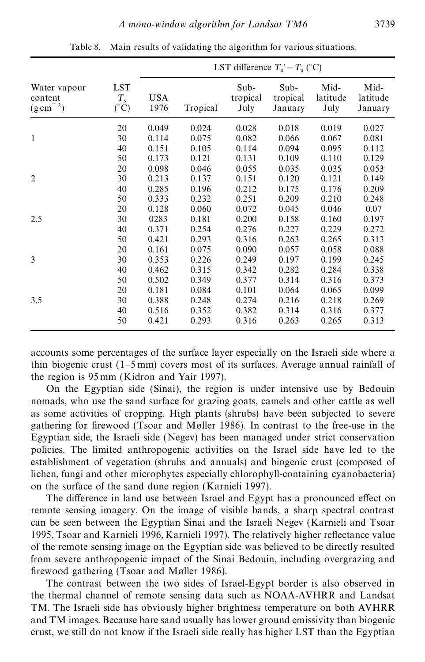|                                                    |                                       | LST difference $T_s' - T_s$ (°C) |          |                          |                             |                          |                             |
|----------------------------------------------------|---------------------------------------|----------------------------------|----------|--------------------------|-----------------------------|--------------------------|-----------------------------|
| Water vapour<br>content<br>$(g \, \text{cm}^{-2})$ | <b>LST</b><br>$T_{s}$<br>$(^\circ C)$ | <b>USA</b><br>1976               | Tropical | Sub-<br>tropical<br>July | Sub-<br>tropical<br>January | Mid-<br>latitude<br>July | Mid-<br>latitude<br>January |
| $\mathbf{1}$                                       | 20                                    | 0.049                            | 0.024    | 0.028                    | 0.018                       | 0.019                    | 0.027                       |
|                                                    | 30                                    | 0.114                            | 0.075    | 0.082                    | 0.066                       | 0.067                    | 0.081                       |
|                                                    | 40                                    | 0.151                            | 0.105    | 0.114                    | 0.094                       | 0.095                    | 0.112                       |
|                                                    | 50                                    | 0.173                            | 0.121    | 0.131                    | 0.109                       | 0.110                    | 0.129                       |
| $\overline{2}$                                     | 20                                    | 0.098                            | 0.046    | 0.055                    | 0.035                       | 0.035                    | 0.053                       |
|                                                    | 30                                    | 0.213                            | 0.137    | 0.151                    | 0.120                       | 0.121                    | 0.149                       |
|                                                    | 40                                    | 0.285                            | 0.196    | 0.212                    | 0.175                       | 0.176                    | 0.209                       |
|                                                    | 50                                    | 0.333                            | 0.232    | 0.251                    | 0.209                       | 0.210                    | 0.248                       |
| 2.5                                                | 20                                    | 0.128                            | 0.060    | 0.072                    | 0.045                       | 0.046                    | 0.07                        |
|                                                    | 30                                    | 0283                             | 0.181    | 0.200                    | 0.158                       | 0.160                    | 0.197                       |
|                                                    | 40                                    | 0.371                            | 0.254    | 0.276                    | 0.227                       | 0.229                    | 0.272                       |
|                                                    | 50                                    | 0.421                            | 0.293    | 0.316                    | 0.263                       | 0.265                    | 0.313                       |
| 3                                                  | 20                                    | 0.161                            | 0.075    | 0.090                    | 0.057                       | 0.058                    | 0.088                       |
|                                                    | 30                                    | 0.353                            | 0.226    | 0.249                    | 0.197                       | 0.199                    | 0.245                       |
|                                                    | 40                                    | 0.462                            | 0.315    | 0.342                    | 0.282                       | 0.284                    | 0.338                       |
| 3.5                                                | 50                                    | 0.502                            | 0.349    | 0.377                    | 0.314                       | 0.316                    | 0.373                       |
|                                                    | 20                                    | 0.181                            | 0.084    | 0.101                    | 0.064                       | 0.065                    | 0.099                       |
|                                                    | 30                                    | 0.388                            | 0.248    | 0.274                    | 0.216                       | 0.218                    | 0.269                       |
|                                                    | 40                                    | 0.516                            | 0.352    | 0.382                    | 0.314                       | 0.316                    | 0.377                       |
|                                                    | 50                                    | 0.421                            | 0.293    | 0.316                    | 0.263                       | 0.265                    | 0.313                       |

Table 8. Main results of validating the algorithm for various situations.

accounts some percentages of the surface layer especially on the Israeli side where a thin biogenic crust (1–5 mm) covers most of its surfaces. Average annual rainfall of the region is 95 mm (Kidron and Yair 1997).

On the Egyptian side (Sinai), the region is under intensive use by Bedouin nomads, who use the sand surface for grazing goats, camels and other cattle as well as some activities of cropping. High plants (shrubs) have been subjected to severe gathering for firewood (Tsoar and Møller 1986). In contrast to the free-use in the Egyptian side, the Israeli side (Negev) has been managed under strict conservation policies. The limited anthropogenic activities on the Israel side have led to the establishment of vegetation (shrubs and annuals) and biogenic crust (composed of lichen, fungi and other microphytes especially chlorophyll-containing cyanobacteria) on the surface of the sand dune region (Karnieli 1997).

The difference in land use between Israel and Egypt has a pronounced effect on remote sensing imagery. On the image of visible bands, a sharp spectral contrast can be seen between the Egyptian Sinai and the Israeli Negev (Karnieli and Tsoar 1995, Tsoar and Karnieli 1996, Karnieli 1997). The relatively higher reflectance value of the remote sensing image on the Egyptian side was believed to be directly resulted from severe anthropogenic impact of the Sinai Bedouin, including overgrazing and firewood gathering (Tsoar and Møller 1986).

The contrast between the two sides of Israel-Egypt border is also observed in the thermal channel of remote sensing data such as NOAA-AVHRR and Landsat TM. The Israeli side has obviously higher brightness temperature on both AVHRR and TM images. Because bare sand usually has lower ground emissivity than biogenic crust, we still do not know if the Israeli side really has higher LST than the Egyptian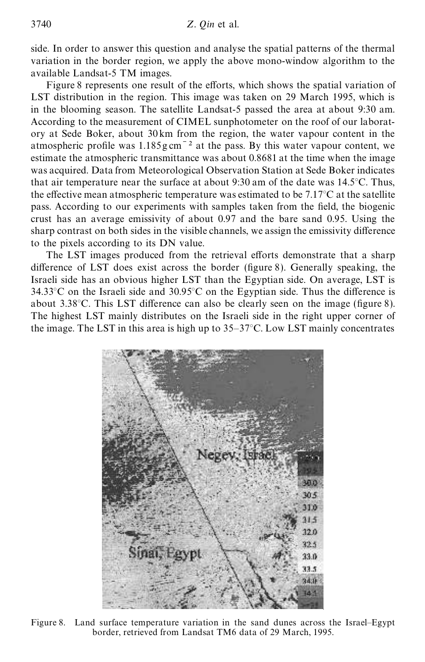side. In order to answer this question and analyse the spatial patterns of the thermal variation in the border region, we apply the above mono-window algorithm to the available Landsat-5 TM images.

Figure 8 represents one result of the efforts, which shows the spatial variation of LST distribution in the region. This image was taken on 29 March 1995, which is in the blooming season. The satellite Landsat-5 passed the area at about 9:30 am. According to the measurement of CIMEL sunphotometer on the roof of our laboratory at Sede Boker, about 30 km from the region, the water vapour content in the atmospheric profile was  $1.185$ g cm<sup> $-2$ </sup> at the pass. By this water vapour content, we estimate the atmospheric transmittance was about 0.8681 at the time when the image was acquired. Data from Meteorological Observation Station at Sede Boker indicates that air temperature near the surface at about 9:30 am of the date was 14.5°C. Thus, the effective mean atmospheric temperature was estimated to be  $7.17^{\circ}$ C at the satellite pass. According to our experiments with samples taken from the field, the biogenic crust has an average emissivity of about 0.97 and the bare sand 0.95. Using the sharp contrast on both sides in the visible channels, we assign the emissivity difference to the pixels according to its DN value.

The LST images produced from the retrieval efforts demonstrate that a sharp difference of LST does exist across the border (figure 8). Generally speaking, the Israeli side has an obvious higher LST than the Egyptian side. On average, LST is  $34.33^{\circ}$ C on the Israeli side and  $30.95^{\circ}$ C on the Egyptian side. Thus the difference is about 3.38 $^{\circ}$ C. This LST difference can also be clearly seen on the image (figure 8). The highest LST mainly distributes on the Israeli side in the right upper corner of the image. The LST in this area is high up to 35–37°C. Low LST mainly concentrates



Figure 8. Land surface temperature variation in the sand dunes across the Israel–Egypt border, retrieved from Landsat TM6 data of 29 March, 1995.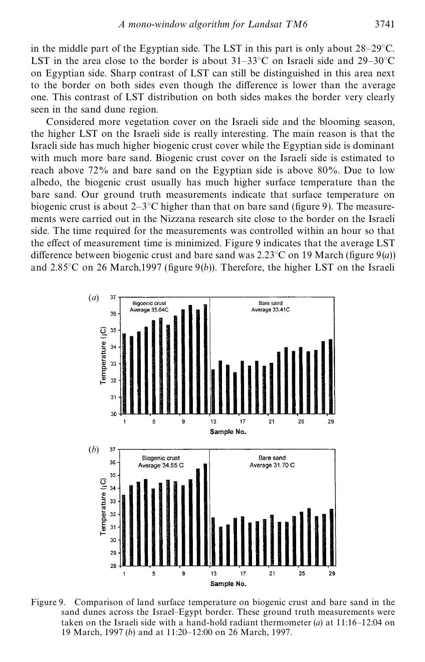in the middle part of the Egyptian side. The LST in this part is only about 28–29°C. LST in the area close to the border is about  $31-33^{\circ}$ C on Israeli side and  $29-30^{\circ}$ C on Egyptian side. Sharp contrast of LST can still be distinguished in this area next to the border on both sides even though the difference is lower than the average one. This contrast of LST distribution on both sides makes the border very clearly seen in the sand dune region.

Considered more vegetation cover on the Israeli side and the blooming season, the higher LST on the Israeli side is really interesting. The main reason is that the Israeli side has much higher biogenic crust cover while the Egyptian side is dominant with much more bare sand. Biogenic crust cover on the Israeli side is estimated to reach above 72% and bare sand on the Egyptian side is above 80%. Due to low albedo, the biogenic crust usually has much higher surface temperature than the bare sand. Our ground truth measurements indicate that surface temperature on biogenic crust is about  $2-3$ °C higher than that on bare sand (figure 9). The measurements were carried out in the Nizzana research site close to the border on the Israeli side. The time required for the measurements was controlled within an hour so that the effect of measurement time is minimized. Figure 9 indicates that the average LST difference between biogenic crust and bare sand was  $2.23^{\circ}$ C on 19 March (figure 9(*a*)) and 2.85<sup>°</sup>C on 26 March, 1997 (figure 9(*b*)). Therefore, the higher LST on the Israeli



Figure 9. Comparison of land surface temperature on biogenic crust and bare sand in the sand dunes across the Israel–Egypt border. These ground truth measurements were taken on the Israeli side with a hand-hold radiant thermometer (*a*) at 11:16–12:04 on 19 March, 1997 (*b*) and at 11:20–12:00 on 26 March, 1997.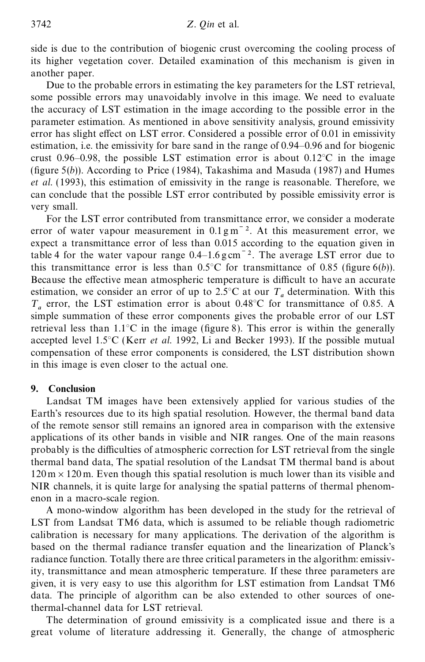side is due to the contribution of biogenic crust overcoming the cooling process of its higher vegetation cover. Detailed examination of this mechanism is given in another paper.

Due to the probable errors in estimating the key parameters for the LST retrieval, some possible errors may unavoidably involve in this image. We need to evaluate the accuracy of LST estimation in the image according to the possible error in the parameter estimation. As mentioned in above sensitivity analysis, ground emissivity error has slight effect on LST error. Considered a possible error of  $0.01$  in emissivity estimation, i.e. the emissivity for bare sand in the range of 0.94–0.96 and for biogenic crust 0.96–0.98, the possible LST estimation error is about  $0.12^{\circ}$ C in the image (figure  $5(b)$ ). According to Price (1984), Takashima and Masuda (1987) and Humes *et al.* (1993), this estimation of emissivity in the range is reasonable. Therefore, we can conclude that the possible LST error contributed by possible emissivity error is very small.

For the LST error contributed from transmittance error, we consider a moderate error of water vapour measurement in  $0.1 \,\mathrm{g m}^{-2}$ . At this measurement error, we expect a transmittance error of less than 0.015 according to the equation given in table 4 for the water vapour range  $0.4-1.6$  g cm<sup> $-2$ </sup>. The average LST error due to this transmittance error is less than  $0.5^{\circ}$ C for transmittance of 0.85 (figure 6(*b*)). Because the effective mean atmospheric temperature is difficult to have an accurate estimation, we consider an error of up to 2.5°C at our *T* determination. With this *a*  $T_a$  error, the LST estimation error is about 0.48°C for transmittance of 0.85. A simple summation of these error components gives the probable error of our LST retrieval less than  $1.1^{\circ}$ C in the image (figure 8). This error is within the generally accepted level 1.5°C (Kerr *et al.* 1992, Li and Becker 1993). If the possible mutual compensation of these error components is considered, the LST distribution shown in this image is even closer to the actual one.

# **9. Conclusion**

Landsat TM images have been extensively applied for various studies of the Earth's resources due to its high spatial resolution. However, the thermal band data of the remote sensor still remains an ignored area in comparison with the extensive applications of its other bands in visible and NIR ranges. One of the main reasons probably is the difficulties of atmospheric correction for LST retrieval from the single thermal band data, The spatial resolution of the Landsat TM thermal band is about  $120 \text{ m} \times 120 \text{ m}$ . Even though this spatial resolution is much lower than its visible and NIR channels, it is quite large for analysing the spatial patterns of thermal phenomenon in a macro-scale region.

A mono-window algorithm has been developed in the study for the retrieval of LST from Landsat TM6 data, which is assumed to be reliable though radiometric calibration is necessary for many applications. The derivation of the algorithm is based on the thermal radiance transfer equation and the linearization of Planck's radiance function. Totally there are three critical parameters in the algorithm: emissivity, transmittance and mean atmospheric temperature. If these three parameters are given, it is very easy to use this algorithm for LST estimation from Landsat TM6 data. The principle of algorithm can be also extended to other sources of onethermal-channel data for LST retrieval.

The determination of ground emissivity is a complicated issue and there is a great volume of literature addressing it. Generally, the change of atmospheric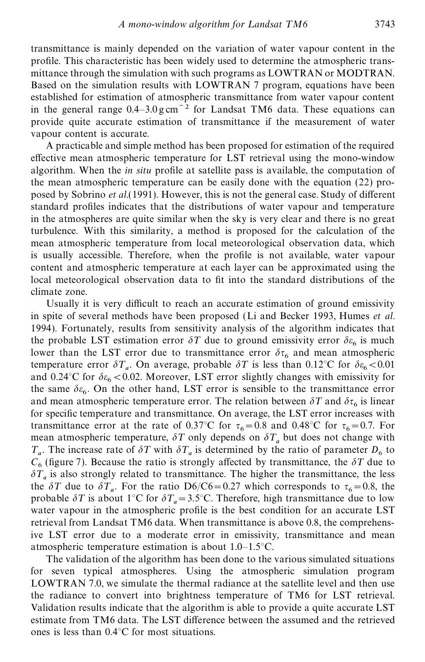transmittance is mainly depended on the variation of water vapour content in the profile. This characteristic has been widely used to determine the atmospheric transmittance through the simulation with such programs as LOWTRAN or MODTRAN. Based on the simulation results with LOWTRAN 7 program, equations have been established for estimation of atmospheric transmittance from water vapour content in the general range  $0.4-3.0$  g cm<sup> $-2$ </sup> for Landsat TM6 data. These equations can provide quite accurate estimation of transmittance if the measurement of water vapour content is accurate.

A practicable and simple method has been proposed for estimation of the required effective mean atmospheric temperature for LST retrieval using the mono-window algorithm. When the *in situ* profile at satellite pass is available, the computation of the mean atmospheric temperature can be easily done with the equation (22) proposed by Sobrino *et al.*(1991). However, this is not the general case. Study of different standard profiles indicates that the distributions of water vapour and temperature in the atmospheres are quite similar when the sky is very clear and there is no great turbulence. With this similarity, a method is proposed for the calculation of the mean atmospheric temperature from local meteorological observation data, which is usually accessible. Therefore, when the profile is not available, water vapour content and atmospheric temperature at each layer can be approximated using the local meteorological observation data to fit into the standard distributions of the climate zone.

Usually it is very difficult to reach an accurate estimation of ground emissivity in spite of several methods have been proposed (Li and Becker 1993, Humes *et al.* 1994). Fortunately, results from sensitivity analysis of the algorithm indicates that the probable LST estimation error  $\delta T$  due to ground emissivity error  $\delta \varepsilon_6$  is much lower than the LST error due to transmittance error  $\delta \tau_6$  and mean atmospheric temperature error  $\delta T_a$ . On average, probable  $\delta T$  is less than 0.12°C for  $\delta \epsilon_6 < 0.01$ and 0.24 °C for  $\delta \varepsilon_6 < 0.02$ . Moreover, LST error slightly changes with emissivity for the same  $\delta \varepsilon_6$ . On the other hand, LST error is sensible to the transmittance error and mean atmospheric temperature error. The relation between  $\delta T$  and  $\delta \tau_6$  is linear for specific temperature and transmittance. On average, the LST error increases with transmittance error at the rate of 0.37°C for  $\tau_6 = 0.8$  and 0.48°C for  $\tau_6 = 0.7$ . For mean atmospheric temperature,  $\delta T$  only depends on  $\delta T_a$  but does not change with  $T_a$ . The increase rate of  $\delta T$  with  $\delta T_a$  is determined by the ratio of parameter  $D_6$  to  $C_6$  (figure 7). Because the ratio is strongly affected by transmittance, the  $\delta T$  due to  $\delta T_a$  is also strongly related to transmittance. The higher the transmittance, the less the  $\delta T$  due to  $\delta T_a$ . For the ratio D6/C6=0.27 which corresponds to  $\tau_6$ =0.8, the probable  $\delta T$  is about 1°C for  $\delta T_a = 3.5$ °C. Therefore, high transmittance due to low water vapour in the atmospheric profile is the best condition for an accurate LST retrieval from Landsat TM6 data. When transmittance is above 0.8, the comprehensive LST error due to a moderate error in emissivity, transmittance and mean atmospheric temperature estimation is about 1.0–1.5°C.

The validation of the algorithm has been done to the various simulated situations for seven typical atmospheres. Using the atmospheric simulation program LOWTRAN 7.0, we simulate the thermal radiance at the satellite level and then use the radiance to convert into brightness temperature of TM6 for LST retrieval. Validation results indicate that the algorithm is able to provide a quite accurate LST estimate from TM6 data. The LST difference between the assumed and the retrieved ones is less than 0.4°C for most situations.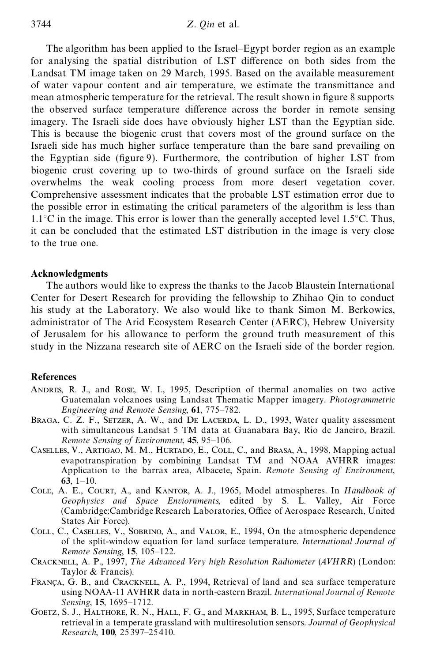The algorithm has been applied to the Israel–Egypt border region as an example for analysing the spatial distribution of LST difference on both sides from the Landsat TM image taken on 29 March, 1995. Based on the available measurement of water vapour content and air temperature, we estimate the transmittance and mean atmospheric temperature for the retrieval. The result shown in figure 8 supports the observed surface temperature difference across the border in remote sensing imagery. The Israeli side does have obviously higher LST than the Egyptian side. This is because the biogenic crust that covers most of the ground surface on the Israeli side has much higher surface temperature than the bare sand prevailing on the Egyptian side (figure 9). Furthermore, the contribution of higher LST from biogenic crust covering up to two-thirds of ground surface on the Israeli side overwhelms the weak cooling process from more desert vegetation cover. Comprehensive assessment indicates that the probable LST estimation error due to the possible error in estimating the critical parameters of the algorithm is less than  $1.1^{\circ}$ C in the image. This error is lower than the generally accepted level 1.5 $^{\circ}$ C. Thus, it can be concluded that the estimated LST distribution in the image is very close to the true one.

#### **Acknowledgments**

The authors would like to express the thanks to the Jacob Blaustein International Center for Desert Research for providing the fellowship to Zhihao Qin to conduct his study at the Laboratory. We also would like to thank Simon M. Berkowics, administrator of The Arid Ecosystem Research Center (AERC), Hebrew University of Jerusalem for his allowance to perform the ground truth measurement of this study in the Nizzana research site of AERC on the Israeli side of the border region.

#### **References**

- Andres, R. J., and Rose, W. I., 1995, Description of thermal anomalies on two active Guatemalan volcanoes using Landsat Thematic Mapper imagery. *Photogrammetric Engineering and Remote Sensing*, **61**, 775–782.
- BRAGA, C. Z. F., SETZER, A. W., and DE LACERDA, L. D., 1993, Water quality assessment with simultaneous Landsat 5 TM data at Guanabara Bay, Rio de Janeiro, Brazil. *Remote Sensing of Environment*, **45**, 95–106.
- CASELLES, V., ARTIGAO, M. M., HURTADO, E., COLL, C., and BRASA, A., 1998, Mapping actual evapotranspiration by combining Landsat TM and NOAA AVHRR images: Application to the barrax area, Albacete, Spain. *Remote Sensing of Environment*, **63**, 1–10.
- Cole, A. E., Court, A., and Kantor, A. J., 1965, Model atmospheres. In *Handbook of Geophysics and Space Enviornments*, edited by S. L. Valley, Air Force (Cambridge:Cambridge Research Laboratories, Office of Aerospace Research, United States Air Force).
- Coll, C., Caselles, V., Sobrino, A., and Valor, E., 1994, On the atmospheric dependence of the split-window equation for land surface temperature. *International Journal of Remote Sensing*, **15**, 105–122.
- Cracknell, A. P., 1997, *T he Advanced Very high Resolution Radiometer* (*AVHRR*) (London: Taylor & Francis).
- FRANÇA, G. B., and CRACKNELL, A. P., 1994, Retrieval of land and sea surface temperature using NOAA-11 AVHRR data in north-eastern Brazil. *International Journal of Remote Sensing*, **15**, 1695–1712.
- GOETZ, S. J., HALTHORE, R. N., HALL, F. G., and MARKHAM, B. L., 1995, Surface temperature retrieval in a temperate grassland with multiresolution sensors. *Journal of Geophysical Research*, **100**, 25397–25410.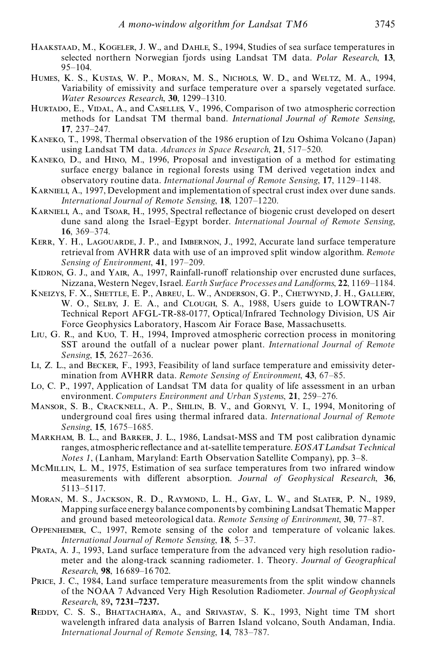- Haakstaad, M., Kogeler, J. W., and Dahle, S., 1994, Studies of sea surface temperatures in selected northern Norwegian fjords using Landsat TM data. *Polar Research*, **13**, 95–104.
- Humes, K. S., Kustas, W. P., Moran, M. S., Nichols, W. D., and Weltz, M. A., 1994, Variability of emissivity and surface temperature over a sparsely vegetated surface. *Water Resources Research*, **30**, 1299–1310.
- HURTADO, E., VIDAL, A., and CASELLES, V., 1996, Comparison of two atmospheric correction methods for Landsat TM thermal band. *International Journal of Remote Sensing*, **17**, 237–247.
- Kaneko, T., 1998, Thermal observation of the 1986 eruption of Izu Oshima Volcano (Japan) using Landsat TM data. *Advances in Space Research*, **21**, 517–520.
- Kaneko, D., and Hino, M., 1996, Proposal and investigation of a method for estimating surface energy balance in regional forests using TM derived vegetation index and observatory routine data. *International Journal of Remote Sensing*, **17**, 1129–1148.
- KARNIELI, A., 1997, Development and implementation of spectral crust index over dune sands. *International Journal of Remote Sensing*, **18**, 1207–1220.
- KARNIELI, A., and Tsoar, H., 1995, Spectral reflectance of biogenic crust developed on desert dune sand along the Israel–Egypt border. *International Journal of Remote Sensing*, **16**, 369–374.
- KERR, Y. H., LAGOUARDE, J. P., and IMBERNON, J., 1992, Accurate land surface temperature retrieval from AVHRR data with use of an improved split window algorithm. *Remote Sensing of Environment*, **41**, 197–209.
- KIDRON, G. J., and YAIR, A., 1997, Rainfall-runoff relationship over encrusted dune surfaces, Nizzana, Western Negev, Israel. *Earth Surface Processes and L andforms*, **22**, 1169–1184.
- Kneizys, F. X., Shettle, E. P., Abreu, L. W., Anderson, G. P., Chetwynd, J. H., Gallery, W. O., Selby, J. E. A., and Clough, S. A., 1988, Users guide to LOWTRAN-7 Technical Report AFGL-TR-88-0177, Optical/Infrared Technology Division, US Air Force Geophysics Laboratory, Hascom Air Forace Base, Massachusetts.
- Liu, G. R., and Kuo, T. H., 1994, Improved atmospheric correction process in monitoring SST around the outfall of a nuclear power plant. *International Journal of Remote Sensing*, **15**, 2627–2636.
- Li, Z. L., and Becker, F., 1993, Feasibility of land surface temperature and emissivity determination from AVHRR data. *Remote Sensing of Environment*, **43**, 67–85.
- Lo, C. P., 1997, Application of Landsat TM data for quality of life assessment in an urban environment. *Computers Environment and Urban Systems*, **21**, 259–276.
- Mansor, S. B., Cracknell, A. P., Shilin, B. V., and Gornyi, V. I., 1994, Monitoring of underground coal fires using thermal infrared data. *International Journal of Remote Sensing*, **15**, 1675–1685.
- Markham, B. L., and Barker, J. L., 1986, Landsat-MSS and TM post calibration dynamic ranges, atmospheric reflectance and at-satellite temperature. *EOSAT Landsat Technical Notes 1*, (Lanham, Maryland: Earth Observation Satellite Company), pp. 3–8.
- McMillin, L. M., 1975, Estimation of sea surface temperatures from two infrared window measurements with different absorption. *Journal of Geophysical Research*, 36, 5113–5117.
- Moran, M. S., Jackson, R. D., Raymond, L. H., Gay, L. W., and Slater, P. N., 1989, Mapping surface energy balance componentsby combining Landsat Thematic Mapper and ground based meteorological data. *Remote Sensing of Environment*, **30**, 77–87.
- Oppenheimer, C., 1997, Remote sensing of the color and temperature of volcanic lakes. *International Journal of Remote Sensing*, **18**, 5–37.
- Prata, A. J., 1993, Land surface temperature from the advanced very high resolution radiometer and the along-track scanning radiometer. 1. Theory. *Journal of Geographical Research*, **98**, 16689–16 702.
- PRICE, J. C., 1984, Land surface temperature measurements from the split window channels of the NOAA 7 Advanced Very High Resolution Radiometer. *Journal of Geophysical Research*, 89**, 7231–7237.**
- **R**eddy, C. S. S., Bhattacharya, A., and Srivastav, S. K., 1993, Night time TM short wavelength infrared data analysis of Barren Island volcano, South Andaman, India. *International Journal of Remote Sensing*, **14**, 783–787.